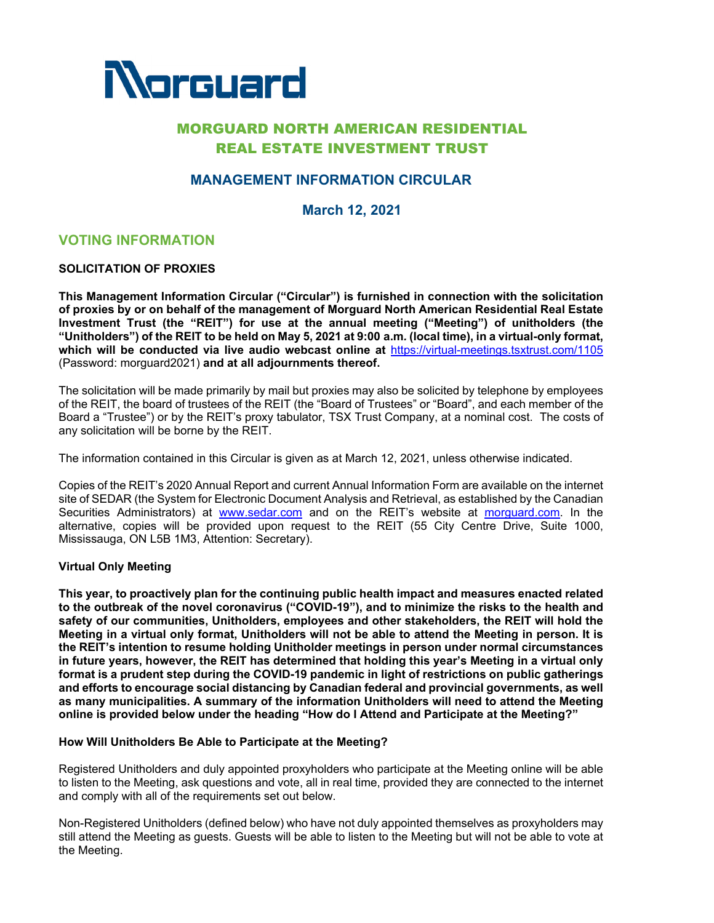

# MORGUARD NORTH AMERICAN RESIDENTIAL REAL ESTATE INVESTMENT TRUST

# **MANAGEMENT INFORMATION CIRCULAR**

**March 12, 2021**

# **VOTING INFORMATION**

## **SOLICITATION OF PROXIES**

**This Management Information Circular ("Circular") is furnished in connection with the solicitation of proxies by or on behalf of the management of Morguard North American Residential Real Estate Investment Trust (the "REIT") for use at the annual meeting ("Meeting") of unitholders (the "Unitholders") of the REIT to be held on May 5, 2021 at 9:00 a.m***.* **(local time), in a virtual-only format, which will be conducted via live audio webcast online at** https://virtual-meetings.tsxtrust.com/1105 (Password: morguard2021) **and at all adjournments thereof.**

The solicitation will be made primarily by mail but proxies may also be solicited by telephone by employees of the REIT, the board of trustees of the REIT (the "Board of Trustees" or "Board", and each member of the Board a "Trustee") or by the REIT's proxy tabulator, TSX Trust Company, at a nominal cost. The costs of any solicitation will be borne by the REIT.

The information contained in this Circular is given as at March 12, 2021, unless otherwise indicated.

Copies of the REIT's 2020 Annual Report and current Annual Information Form are available on the internet site of SEDAR (the System for Electronic Document Analysis and Retrieval, as established by the Canadian Securities Administrators) at www.sedar.com and on the REIT's website at morguard.com. In the alternative, copies will be provided upon request to the REIT (55 City Centre Drive, Suite 1000, Mississauga, ON L5B 1M3, Attention: Secretary).

#### **Virtual Only Meeting**

**This year, to proactively plan for the continuing public health impact and measures enacted related to the outbreak of the novel coronavirus ("COVID-19"), and to minimize the risks to the health and safety of our communities, Unitholders, employees and other stakeholders, the REIT will hold the Meeting in a virtual only format, Unitholders will not be able to attend the Meeting in person. It is the REIT's intention to resume holding Unitholder meetings in person under normal circumstances in future years, however, the REIT has determined that holding this year's Meeting in a virtual only format is a prudent step during the COVID-19 pandemic in light of restrictions on public gatherings and efforts to encourage social distancing by Canadian federal and provincial governments, as well as many municipalities. A summary of the information Unitholders will need to attend the Meeting online is provided below under the heading "How do I Attend and Participate at the Meeting?"** 

#### **How Will Unitholders Be Able to Participate at the Meeting?**

Registered Unitholders and duly appointed proxyholders who participate at the Meeting online will be able to listen to the Meeting, ask questions and vote, all in real time, provided they are connected to the internet and comply with all of the requirements set out below.

Non-Registered Unitholders (defined below) who have not duly appointed themselves as proxyholders may still attend the Meeting as guests. Guests will be able to listen to the Meeting but will not be able to vote at the Meeting.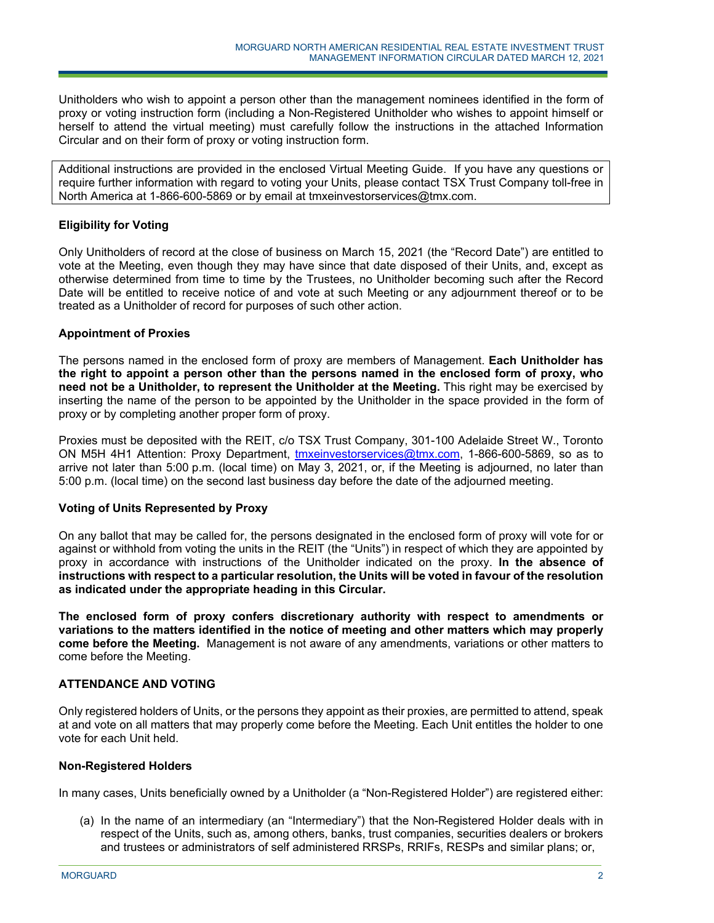Unitholders who wish to appoint a person other than the management nominees identified in the form of proxy or voting instruction form (including a Non-Registered Unitholder who wishes to appoint himself or herself to attend the virtual meeting) must carefully follow the instructions in the attached Information Circular and on their form of proxy or voting instruction form.

Additional instructions are provided in the enclosed Virtual Meeting Guide. If you have any questions or require further information with regard to voting your Units, please contact TSX Trust Company toll-free in North America at 1-866-600-5869 or by email at tmxeinvestorservices@tmx.com.

## **Eligibility for Voting**

Only Unitholders of record at the close of business on March 15, 2021 (the "Record Date") are entitled to vote at the Meeting, even though they may have since that date disposed of their Units, and, except as otherwise determined from time to time by the Trustees, no Unitholder becoming such after the Record Date will be entitled to receive notice of and vote at such Meeting or any adjournment thereof or to be treated as a Unitholder of record for purposes of such other action.

## **Appointment of Proxies**

The persons named in the enclosed form of proxy are members of Management. **Each Unitholder has the right to appoint a person other than the persons named in the enclosed form of proxy, who need not be a Unitholder, to represent the Unitholder at the Meeting.** This right may be exercised by inserting the name of the person to be appointed by the Unitholder in the space provided in the form of proxy or by completing another proper form of proxy.

Proxies must be deposited with the REIT, c/o TSX Trust Company, 301-100 Adelaide Street W., Toronto ON M5H 4H1 Attention: Proxy Department, tmxeinvestorservices@tmx.com, 1-866-600-5869, so as to arrive not later than 5:00 p.m. (local time) on May 3, 2021, or, if the Meeting is adjourned, no later than 5:00 p.m. (local time) on the second last business day before the date of the adjourned meeting.

#### **Voting of Units Represented by Proxy**

On any ballot that may be called for, the persons designated in the enclosed form of proxy will vote for or against or withhold from voting the units in the REIT (the "Units") in respect of which they are appointed by proxy in accordance with instructions of the Unitholder indicated on the proxy. **In the absence of instructions with respect to a particular resolution, the Units will be voted in favour of the resolution as indicated under the appropriate heading in this Circular.**

**The enclosed form of proxy confers discretionary authority with respect to amendments or variations to the matters identified in the notice of meeting and other matters which may properly come before the Meeting.** Management is not aware of any amendments, variations or other matters to come before the Meeting.

# **ATTENDANCE AND VOTING**

Only registered holders of Units, or the persons they appoint as their proxies, are permitted to attend, speak at and vote on all matters that may properly come before the Meeting. Each Unit entitles the holder to one vote for each Unit held.

# **Non-Registered Holders**

In many cases, Units beneficially owned by a Unitholder (a "Non-Registered Holder") are registered either:

j

(a) In the name of an intermediary (an "Intermediary") that the Non-Registered Holder deals with in respect of the Units, such as, among others, banks, trust companies, securities dealers or brokers and trustees or administrators of self administered RRSPs, RRIFs, RESPs and similar plans; or,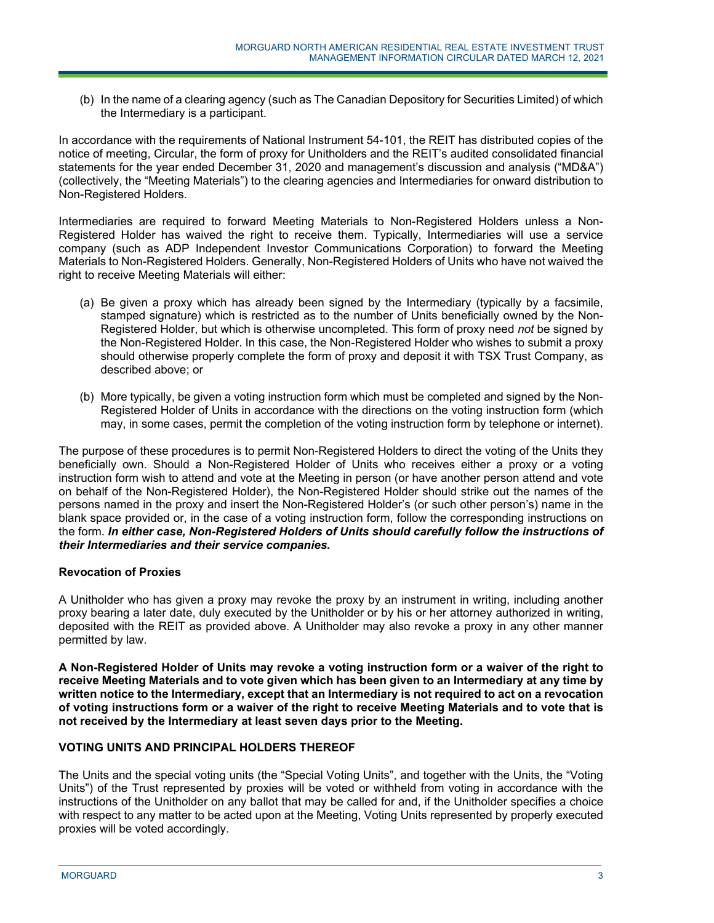(b) In the name of a clearing agency (such as The Canadian Depository for Securities Limited) of which the Intermediary is a participant.

In accordance with the requirements of National Instrument 54-101, the REIT has distributed copies of the notice of meeting, Circular, the form of proxy for Unitholders and the REIT's audited consolidated financial statements for the year ended December 31, 2020 and management's discussion and analysis ("MD&A") (collectively, the "Meeting Materials") to the clearing agencies and Intermediaries for onward distribution to Non-Registered Holders.

Intermediaries are required to forward Meeting Materials to Non-Registered Holders unless a Non-Registered Holder has waived the right to receive them. Typically, Intermediaries will use a service company (such as ADP Independent Investor Communications Corporation) to forward the Meeting Materials to Non-Registered Holders. Generally, Non-Registered Holders of Units who have not waived the right to receive Meeting Materials will either:

- (a) Be given a proxy which has already been signed by the Intermediary (typically by a facsimile, stamped signature) which is restricted as to the number of Units beneficially owned by the Non-Registered Holder, but which is otherwise uncompleted. This form of proxy need *not* be signed by the Non-Registered Holder. In this case, the Non-Registered Holder who wishes to submit a proxy should otherwise properly complete the form of proxy and deposit it with TSX Trust Company, as described above; or
- (b) More typically, be given a voting instruction form which must be completed and signed by the Non-Registered Holder of Units in accordance with the directions on the voting instruction form (which may, in some cases, permit the completion of the voting instruction form by telephone or internet).

The purpose of these procedures is to permit Non-Registered Holders to direct the voting of the Units they beneficially own. Should a Non-Registered Holder of Units who receives either a proxy or a voting instruction form wish to attend and vote at the Meeting in person (or have another person attend and vote on behalf of the Non-Registered Holder), the Non-Registered Holder should strike out the names of the persons named in the proxy and insert the Non-Registered Holder's (or such other person's) name in the blank space provided or, in the case of a voting instruction form, follow the corresponding instructions on the form. *In either case, Non-Registered Holders of Units should carefully follow the instructions of their Intermediaries and their service companies.*

# **Revocation of Proxies**

A Unitholder who has given a proxy may revoke the proxy by an instrument in writing, including another proxy bearing a later date, duly executed by the Unitholder or by his or her attorney authorized in writing, deposited with the REIT as provided above. A Unitholder may also revoke a proxy in any other manner permitted by law.

**A Non-Registered Holder of Units may revoke a voting instruction form or a waiver of the right to receive Meeting Materials and to vote given which has been given to an Intermediary at any time by written notice to the Intermediary, except that an Intermediary is not required to act on a revocation of voting instructions form or a waiver of the right to receive Meeting Materials and to vote that is not received by the Intermediary at least seven days prior to the Meeting.** 

# **VOTING UNITS AND PRINCIPAL HOLDERS THEREOF**

j

The Units and the special voting units (the "Special Voting Units", and together with the Units, the "Voting Units") of the Trust represented by proxies will be voted or withheld from voting in accordance with the instructions of the Unitholder on any ballot that may be called for and, if the Unitholder specifies a choice with respect to any matter to be acted upon at the Meeting, Voting Units represented by properly executed proxies will be voted accordingly.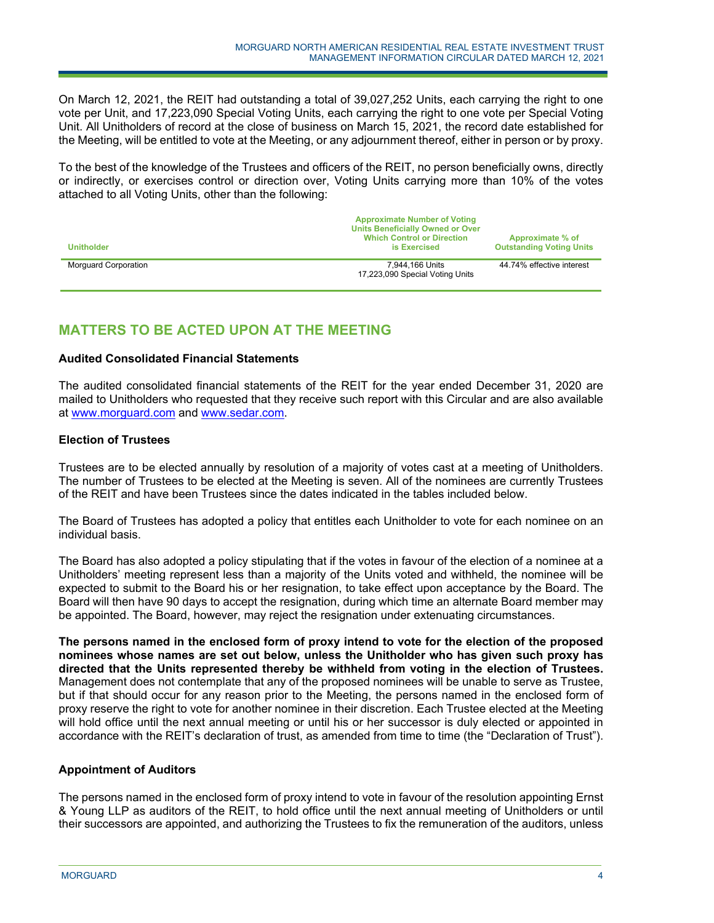On March 12, 2021, the REIT had outstanding a total of 39,027,252 Units, each carrying the right to one vote per Unit, and 17,223,090 Special Voting Units, each carrying the right to one vote per Special Voting Unit. All Unitholders of record at the close of business on March 15, 2021, the record date established for the Meeting, will be entitled to vote at the Meeting, or any adjournment thereof, either in person or by proxy.

To the best of the knowledge of the Trustees and officers of the REIT, no person beneficially owns, directly or indirectly, or exercises control or direction over, Voting Units carrying more than 10% of the votes attached to all Voting Units, other than the following:

| <b>Unitholder</b>           | <b>Approximate Number of Voting</b><br><b>Units Beneficially Owned or Over</b><br><b>Which Control or Direction</b><br>is Exercised | Approximate % of<br><b>Outstanding Voting Units</b> |  |
|-----------------------------|-------------------------------------------------------------------------------------------------------------------------------------|-----------------------------------------------------|--|
| <b>Morguard Corporation</b> | 7.944.166 Units<br>17,223,090 Special Voting Units                                                                                  | 44.74% effective interest                           |  |

# **MATTERS TO BE ACTED UPON AT THE MEETING**

## **Audited Consolidated Financial Statements**

The audited consolidated financial statements of the REIT for the year ended December 31, 2020 are mailed to Unitholders who requested that they receive such report with this Circular and are also available at www.morguard.com and www.sedar.com.

## **Election of Trustees**

Trustees are to be elected annually by resolution of a majority of votes cast at a meeting of Unitholders. The number of Trustees to be elected at the Meeting is seven. All of the nominees are currently Trustees of the REIT and have been Trustees since the dates indicated in the tables included below.

The Board of Trustees has adopted a policy that entitles each Unitholder to vote for each nominee on an individual basis.

The Board has also adopted a policy stipulating that if the votes in favour of the election of a nominee at a Unitholders' meeting represent less than a majority of the Units voted and withheld, the nominee will be expected to submit to the Board his or her resignation, to take effect upon acceptance by the Board. The Board will then have 90 days to accept the resignation, during which time an alternate Board member may be appointed. The Board, however, may reject the resignation under extenuating circumstances.

**The persons named in the enclosed form of proxy intend to vote for the election of the proposed nominees whose names are set out below, unless the Unitholder who has given such proxy has directed that the Units represented thereby be withheld from voting in the election of Trustees.** Management does not contemplate that any of the proposed nominees will be unable to serve as Trustee, but if that should occur for any reason prior to the Meeting, the persons named in the enclosed form of proxy reserve the right to vote for another nominee in their discretion. Each Trustee elected at the Meeting will hold office until the next annual meeting or until his or her successor is duly elected or appointed in accordance with the REIT's declaration of trust, as amended from time to time (the "Declaration of Trust").

# **Appointment of Auditors**

The persons named in the enclosed form of proxy intend to vote in favour of the resolution appointing Ernst & Young LLP as auditors of the REIT, to hold office until the next annual meeting of Unitholders or until their successors are appointed, and authorizing the Trustees to fix the remuneration of the auditors, unless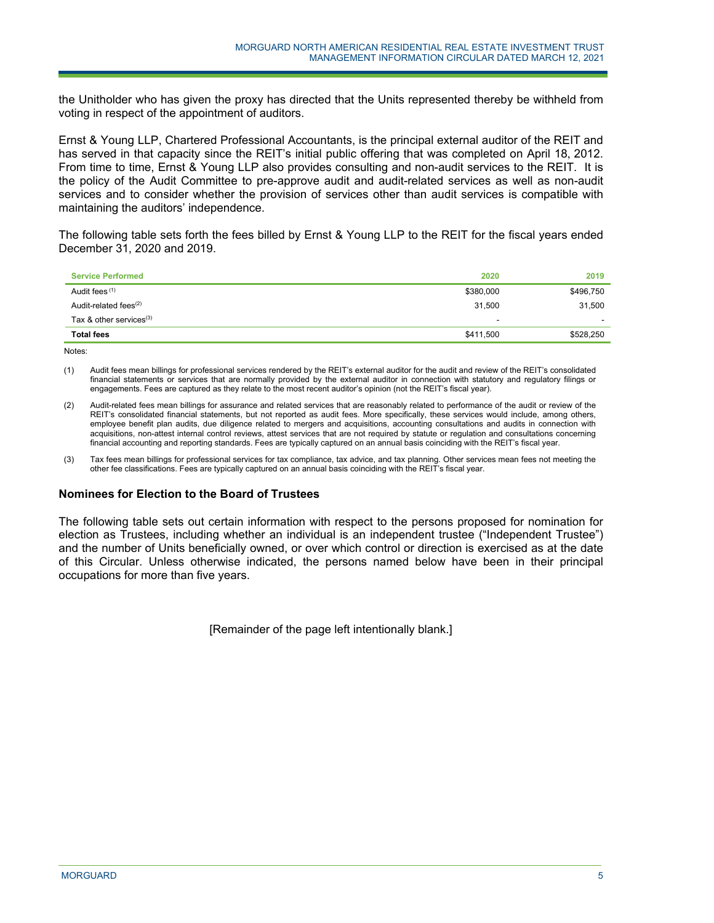the Unitholder who has given the proxy has directed that the Units represented thereby be withheld from voting in respect of the appointment of auditors.

Ernst & Young LLP, Chartered Professional Accountants, is the principal external auditor of the REIT and has served in that capacity since the REIT's initial public offering that was completed on April 18, 2012. From time to time, Ernst & Young LLP also provides consulting and non-audit services to the REIT. It is the policy of the Audit Committee to pre-approve audit and audit-related services as well as non-audit services and to consider whether the provision of services other than audit services is compatible with maintaining the auditors' independence.

The following table sets forth the fees billed by Ernst & Young LLP to the REIT for the fiscal years ended December 31, 2020 and 2019.

| <b>Service Performed</b>          | 2020      | 2019      |
|-----------------------------------|-----------|-----------|
| Audit fees (1)                    | \$380,000 | \$496,750 |
| Audit-related fees <sup>(2)</sup> | 31,500    | 31,500    |
| Tax & other services $(3)$        | -         |           |
| <b>Total fees</b>                 | \$411,500 | \$528,250 |

Notes:

(1) Audit fees mean billings for professional services rendered by the REIT's external auditor for the audit and review of the REIT's consolidated financial statements or services that are normally provided by the external auditor in connection with statutory and regulatory filings or engagements. Fees are captured as they relate to the most recent auditor's opinion (not the REIT's fiscal year).

- (2) Audit-related fees mean billings for assurance and related services that are reasonably related to performance of the audit or review of the REIT's consolidated financial statements, but not reported as audit fees. More specifically, these services would include, among others, employee benefit plan audits, due diligence related to mergers and acquisitions, accounting consultations and audits in connection with acquisitions, non-attest internal control reviews, attest services that are not required by statute or regulation and consultations concerning financial accounting and reporting standards. Fees are typically captured on an annual basis coinciding with the REIT's fiscal year.
- (3) Tax fees mean billings for professional services for tax compliance, tax advice, and tax planning. Other services mean fees not meeting the other fee classifications. Fees are typically captured on an annual basis coinciding with the REIT's fiscal year.

#### **Nominees for Election to the Board of Trustees**

j

The following table sets out certain information with respect to the persons proposed for nomination for election as Trustees, including whether an individual is an independent trustee ("Independent Trustee") and the number of Units beneficially owned, or over which control or direction is exercised as at the date of this Circular. Unless otherwise indicated, the persons named below have been in their principal occupations for more than five years.

[Remainder of the page left intentionally blank.]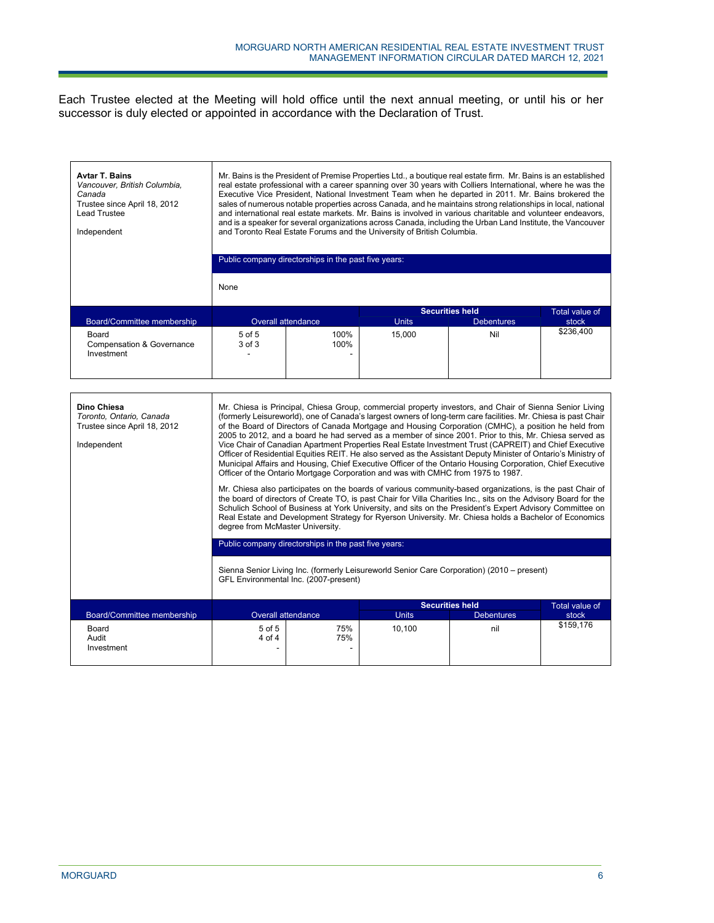Each Trustee elected at the Meeting will hold office until the next annual meeting, or until his or her successor is duly elected or appointed in accordance with the Declaration of Trust.

| <b>Avtar T. Bains</b><br>Vancouver, British Columbia,<br>Canada<br>Trustee since April 18, 2012<br><b>Lead Trustee</b><br>Independent | Mr. Bains is the President of Premise Properties Ltd., a boutique real estate firm. Mr. Bains is an established<br>real estate professional with a career spanning over 30 years with Colliers International, where he was the<br>Executive Vice President. National Investment Team when he departed in 2011. Mr. Bains brokered the<br>sales of numerous notable properties across Canada, and he maintains strong relationships in local, national<br>and international real estate markets. Mr. Bains is involved in various charitable and volunteer endeavors,<br>and is a speaker for several organizations across Canada, including the Urban Land Institute, the Vancouver<br>and Toronto Real Estate Forums and the University of British Columbia.<br>Public company directorships in the past five years:<br>None                                                                                                                                                                                                                                                                                                                                                                                                                                                                                                                                                                                                                                                                                                                                     |                           |              |                                             |                         |  |
|---------------------------------------------------------------------------------------------------------------------------------------|-------------------------------------------------------------------------------------------------------------------------------------------------------------------------------------------------------------------------------------------------------------------------------------------------------------------------------------------------------------------------------------------------------------------------------------------------------------------------------------------------------------------------------------------------------------------------------------------------------------------------------------------------------------------------------------------------------------------------------------------------------------------------------------------------------------------------------------------------------------------------------------------------------------------------------------------------------------------------------------------------------------------------------------------------------------------------------------------------------------------------------------------------------------------------------------------------------------------------------------------------------------------------------------------------------------------------------------------------------------------------------------------------------------------------------------------------------------------------------------------------------------------------------------------------------------------|---------------------------|--------------|---------------------------------------------|-------------------------|--|
| Board/Committee membership                                                                                                            | <b>Overall attendance</b>                                                                                                                                                                                                                                                                                                                                                                                                                                                                                                                                                                                                                                                                                                                                                                                                                                                                                                                                                                                                                                                                                                                                                                                                                                                                                                                                                                                                                                                                                                                                         |                           | <b>Units</b> | <b>Securities held</b><br><b>Debentures</b> | Total value of<br>stock |  |
| Board<br><b>Compensation &amp; Governance</b><br>Investment                                                                           | 5 of 5<br>3 of 3                                                                                                                                                                                                                                                                                                                                                                                                                                                                                                                                                                                                                                                                                                                                                                                                                                                                                                                                                                                                                                                                                                                                                                                                                                                                                                                                                                                                                                                                                                                                                  | 100%<br>100%              | 15,000       | Nil                                         | \$236,400               |  |
| Dino Chiesa<br>Toronto, Ontario, Canada<br>Trustee since April 18, 2012<br>Independent                                                | Mr. Chiesa is Principal, Chiesa Group, commercial property investors, and Chair of Sienna Senior Living<br>(formerly Leisureworld), one of Canada's largest owners of long-term care facilities. Mr. Chiesa is past Chair<br>of the Board of Directors of Canada Mortgage and Housing Corporation (CMHC), a position he held from<br>2005 to 2012, and a board he had served as a member of since 2001. Prior to this, Mr. Chiesa served as<br>Vice Chair of Canadian Apartment Properties Real Estate Investment Trust (CAPREIT) and Chief Executive<br>Officer of Residential Equities REIT. He also served as the Assistant Deputy Minister of Ontario's Ministry of<br>Municipal Affairs and Housing, Chief Executive Officer of the Ontario Housing Corporation, Chief Executive<br>Officer of the Ontario Mortgage Corporation and was with CMHC from 1975 to 1987.<br>Mr. Chiesa also participates on the boards of various community-based organizations, is the past Chair of<br>the board of directors of Create TO, is past Chair for Villa Charities Inc., sits on the Advisory Board for the<br>Schulich School of Business at York University, and sits on the President's Expert Advisory Committee on<br>Real Estate and Development Strategy for Ryerson University. Mr. Chiesa holds a Bachelor of Economics<br>degree from McMaster University.<br>Public company directorships in the past five years:<br>Sienna Senior Living Inc. (formerly Leisureworld Senior Care Corporation) (2010 – present)<br>GFL Environmental Inc. (2007-present) |                           |              |                                             |                         |  |
| Board/Committee membership                                                                                                            |                                                                                                                                                                                                                                                                                                                                                                                                                                                                                                                                                                                                                                                                                                                                                                                                                                                                                                                                                                                                                                                                                                                                                                                                                                                                                                                                                                                                                                                                                                                                                                   | <b>Overall attendance</b> | <b>Units</b> | <b>Securities held</b><br><b>Debentures</b> | Total value of<br>stock |  |
| Board<br>Audit<br>Investment                                                                                                          | $5$ of $5$<br>4 of 4                                                                                                                                                                                                                                                                                                                                                                                                                                                                                                                                                                                                                                                                                                                                                                                                                                                                                                                                                                                                                                                                                                                                                                                                                                                                                                                                                                                                                                                                                                                                              | 75%<br>75%                | 10,100       | nil                                         | \$159,176               |  |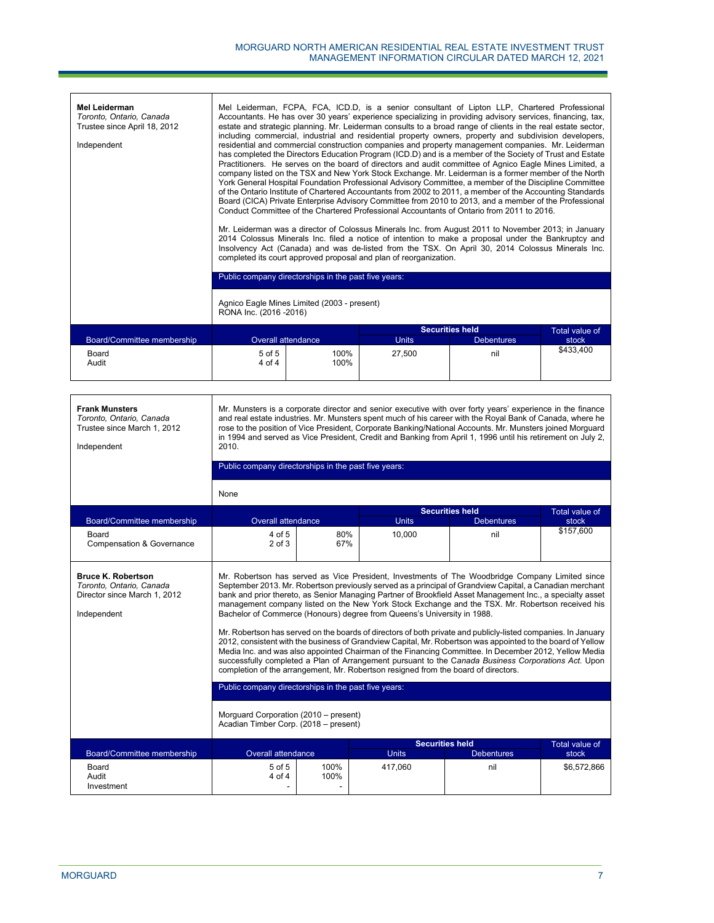| <b>Mel Leiderman</b><br>Toronto, Ontario, Canada<br>Trustee since April 18, 2012<br>Independent |                                                                        |                                                      | Mel Leiderman, FCPA, FCA, ICD.D, is a senior consultant of Lipton LLP, Chartered Professional<br>Accountants. He has over 30 years' experience specializing in providing advisory services, financing, tax,<br>estate and strategic planning. Mr. Leiderman consults to a broad range of clients in the real estate sector,<br>including commercial, industrial and residential property owners, property and subdivision developers,<br>residential and commercial construction companies and property management companies. Mr. Leiderman<br>has completed the Directors Education Program (ICD.D) and is a member of the Society of Trust and Estate<br>Practitioners. He serves on the board of directors and audit committee of Agnico Eagle Mines Limited, a<br>company listed on the TSX and New York Stock Exchange. Mr. Leiderman is a former member of the North<br>York General Hospital Foundation Professional Advisory Committee, a member of the Discipline Committee<br>of the Ontario Institute of Chartered Accountants from 2002 to 2011, a member of the Accounting Standards<br>Board (CICA) Private Enterprise Advisory Committee from 2010 to 2013, and a member of the Professional<br>Conduct Committee of the Chartered Professional Accountants of Ontario from 2011 to 2016.<br>Mr. Leiderman was a director of Colossus Minerals Inc. from August 2011 to November 2013; in January<br>2014 Colossus Minerals Inc. filed a notice of intention to make a proposal under the Bankruptcy and<br>Insolvency Act (Canada) and was de-listed from the TSX. On April 30, 2014 Colossus Minerals Inc.<br>completed its court approved proposal and plan of reorganization. |                        |                |
|-------------------------------------------------------------------------------------------------|------------------------------------------------------------------------|------------------------------------------------------|--------------------------------------------------------------------------------------------------------------------------------------------------------------------------------------------------------------------------------------------------------------------------------------------------------------------------------------------------------------------------------------------------------------------------------------------------------------------------------------------------------------------------------------------------------------------------------------------------------------------------------------------------------------------------------------------------------------------------------------------------------------------------------------------------------------------------------------------------------------------------------------------------------------------------------------------------------------------------------------------------------------------------------------------------------------------------------------------------------------------------------------------------------------------------------------------------------------------------------------------------------------------------------------------------------------------------------------------------------------------------------------------------------------------------------------------------------------------------------------------------------------------------------------------------------------------------------------------------------------------------------------------------------------------------------------------------|------------------------|----------------|
|                                                                                                 |                                                                        | Public company directorships in the past five years: |                                                                                                                                                                                                                                                                                                                                                                                                                                                                                                                                                                                                                                                                                                                                                                                                                                                                                                                                                                                                                                                                                                                                                                                                                                                                                                                                                                                                                                                                                                                                                                                                                                                                                                  |                        |                |
|                                                                                                 | Agnico Eagle Mines Limited (2003 - present)<br>RONA Inc. (2016 - 2016) |                                                      |                                                                                                                                                                                                                                                                                                                                                                                                                                                                                                                                                                                                                                                                                                                                                                                                                                                                                                                                                                                                                                                                                                                                                                                                                                                                                                                                                                                                                                                                                                                                                                                                                                                                                                  |                        |                |
|                                                                                                 |                                                                        |                                                      |                                                                                                                                                                                                                                                                                                                                                                                                                                                                                                                                                                                                                                                                                                                                                                                                                                                                                                                                                                                                                                                                                                                                                                                                                                                                                                                                                                                                                                                                                                                                                                                                                                                                                                  | <b>Securities held</b> | Total value of |
| Board/Committee membership                                                                      |                                                                        | <b>Overall attendance</b>                            | <b>Units</b>                                                                                                                                                                                                                                                                                                                                                                                                                                                                                                                                                                                                                                                                                                                                                                                                                                                                                                                                                                                                                                                                                                                                                                                                                                                                                                                                                                                                                                                                                                                                                                                                                                                                                     | <b>Debentures</b>      | stock          |
| Board<br>Audit                                                                                  | $5$ of $5$<br>4 of 4                                                   | 100%<br>100%                                         | 27.500                                                                                                                                                                                                                                                                                                                                                                                                                                                                                                                                                                                                                                                                                                                                                                                                                                                                                                                                                                                                                                                                                                                                                                                                                                                                                                                                                                                                                                                                                                                                                                                                                                                                                           | nil                    | \$433.400      |

| <b>Frank Munsters</b><br>Toronto, Ontario, Canada<br>Trustee since March 1, 2012<br>Independent      | Mr. Munsters is a corporate director and senior executive with over forty years' experience in the finance<br>and real estate industries. Mr. Munsters spent much of his career with the Royal Bank of Canada, where he<br>rose to the position of Vice President, Corporate Banking/National Accounts. Mr. Munsters joined Morguard<br>in 1994 and served as Vice President, Credit and Banking from April 1, 1996 until his retirement on July 2,<br>2010.                                                                                                                                                                                                                                                                                                                                                                                                                                                                                                                                                                                  |              |              |                        |                |  |
|------------------------------------------------------------------------------------------------------|-----------------------------------------------------------------------------------------------------------------------------------------------------------------------------------------------------------------------------------------------------------------------------------------------------------------------------------------------------------------------------------------------------------------------------------------------------------------------------------------------------------------------------------------------------------------------------------------------------------------------------------------------------------------------------------------------------------------------------------------------------------------------------------------------------------------------------------------------------------------------------------------------------------------------------------------------------------------------------------------------------------------------------------------------|--------------|--------------|------------------------|----------------|--|
|                                                                                                      | Public company directorships in the past five years:                                                                                                                                                                                                                                                                                                                                                                                                                                                                                                                                                                                                                                                                                                                                                                                                                                                                                                                                                                                          |              |              |                        |                |  |
|                                                                                                      | None                                                                                                                                                                                                                                                                                                                                                                                                                                                                                                                                                                                                                                                                                                                                                                                                                                                                                                                                                                                                                                          |              |              |                        |                |  |
|                                                                                                      |                                                                                                                                                                                                                                                                                                                                                                                                                                                                                                                                                                                                                                                                                                                                                                                                                                                                                                                                                                                                                                               |              |              | <b>Securities held</b> | Total value of |  |
| Board/Committee membership                                                                           | <b>Overall attendance</b>                                                                                                                                                                                                                                                                                                                                                                                                                                                                                                                                                                                                                                                                                                                                                                                                                                                                                                                                                                                                                     |              | <b>Units</b> | <b>Debentures</b>      | stock          |  |
| Board<br><b>Compensation &amp; Governance</b>                                                        | 4 of 5<br>$2$ of $3$                                                                                                                                                                                                                                                                                                                                                                                                                                                                                                                                                                                                                                                                                                                                                                                                                                                                                                                                                                                                                          | 80%<br>67%   | 10,000       | nil                    | \$157,600      |  |
| <b>Bruce K. Robertson</b><br>Toronto, Ontario, Canada<br>Director since March 1, 2012<br>Independent | Mr. Robertson has served as Vice President, Investments of The Woodbridge Company Limited since<br>September 2013. Mr. Robertson previously served as a principal of Grandview Capital, a Canadian merchant<br>bank and prior thereto, as Senior Managing Partner of Brookfield Asset Management Inc., a specialty asset<br>management company listed on the New York Stock Exchange and the TSX. Mr. Robertson received his<br>Bachelor of Commerce (Honours) degree from Queens's University in 1988.<br>Mr. Robertson has served on the boards of directors of both private and publicly-listed companies. In January<br>2012, consistent with the business of Grandview Capital, Mr. Robertson was appointed to the board of Yellow<br>Media Inc. and was also appointed Chairman of the Financing Committee. In December 2012, Yellow Media<br>successfully completed a Plan of Arrangement pursuant to the Canada Business Corporations Act. Upon<br>completion of the arrangement, Mr. Robertson resigned from the board of directors. |              |              |                        |                |  |
|                                                                                                      | Public company directorships in the past five years:                                                                                                                                                                                                                                                                                                                                                                                                                                                                                                                                                                                                                                                                                                                                                                                                                                                                                                                                                                                          |              |              |                        |                |  |
|                                                                                                      | Morguard Corporation (2010 – present)<br>Acadian Timber Corp. (2018 - present)                                                                                                                                                                                                                                                                                                                                                                                                                                                                                                                                                                                                                                                                                                                                                                                                                                                                                                                                                                |              |              |                        |                |  |
|                                                                                                      |                                                                                                                                                                                                                                                                                                                                                                                                                                                                                                                                                                                                                                                                                                                                                                                                                                                                                                                                                                                                                                               |              |              | <b>Securities held</b> | Total value of |  |
| Board/Committee membership                                                                           | <b>Overall attendance</b>                                                                                                                                                                                                                                                                                                                                                                                                                                                                                                                                                                                                                                                                                                                                                                                                                                                                                                                                                                                                                     |              | <b>Units</b> | <b>Debentures</b>      | stock          |  |
| Board<br>Audit<br>Investment                                                                         | 5 of 5<br>4 of 4                                                                                                                                                                                                                                                                                                                                                                                                                                                                                                                                                                                                                                                                                                                                                                                                                                                                                                                                                                                                                              | 100%<br>100% | 417,060      | nil                    | \$6,572,866    |  |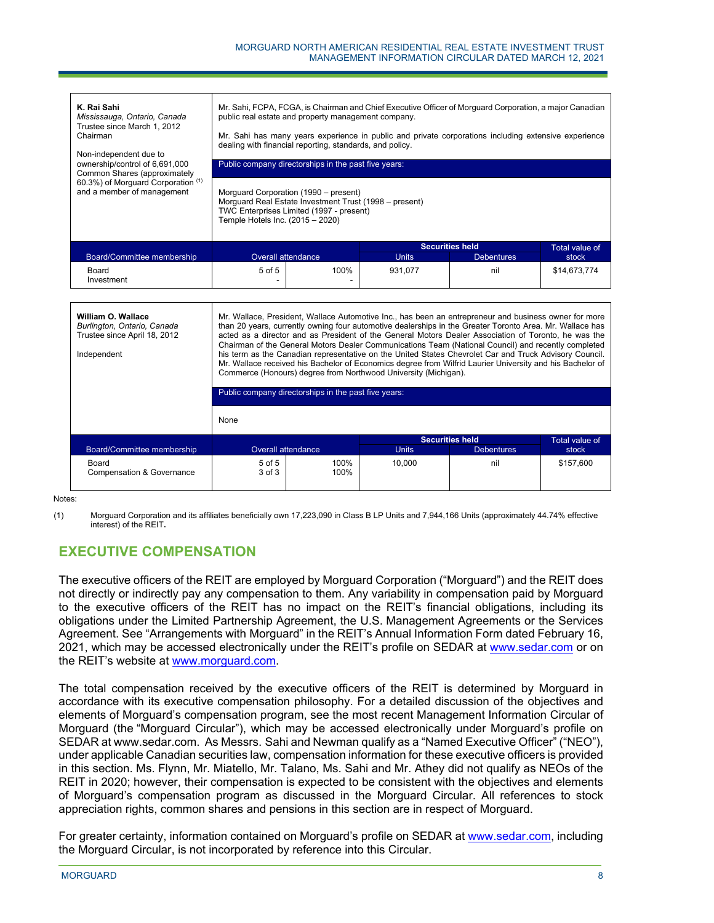| K. Rai Sahi<br>Mississauga, Ontario, Canada<br>Trustee since March 1, 2012<br>Chairman<br>Non-independent due to<br>ownership/control of 6,691,000<br>Common Shares (approximately<br>60.3%) of Morguard Corporation (1)<br>and a member of management | Mr. Sahi, FCPA, FCGA, is Chairman and Chief Executive Officer of Morguard Corporation, a major Canadian<br>public real estate and property management company.<br>Mr. Sahi has many years experience in public and private corporations including extensive experience<br>dealing with financial reporting, standards, and policy.<br>Public company directorships in the past five years:<br>Morguard Corporation (1990 – present)<br>Morguard Real Estate Investment Trust (1998 - present) |                                          |              |                        |                |
|--------------------------------------------------------------------------------------------------------------------------------------------------------------------------------------------------------------------------------------------------------|-----------------------------------------------------------------------------------------------------------------------------------------------------------------------------------------------------------------------------------------------------------------------------------------------------------------------------------------------------------------------------------------------------------------------------------------------------------------------------------------------|------------------------------------------|--------------|------------------------|----------------|
|                                                                                                                                                                                                                                                        | Temple Hotels Inc. (2015 - 2020)                                                                                                                                                                                                                                                                                                                                                                                                                                                              | TWC Enterprises Limited (1997 - present) |              |                        |                |
|                                                                                                                                                                                                                                                        |                                                                                                                                                                                                                                                                                                                                                                                                                                                                                               |                                          |              | <b>Securities held</b> | Total value of |
| Board/Committee membership                                                                                                                                                                                                                             | Overall attendance                                                                                                                                                                                                                                                                                                                                                                                                                                                                            |                                          | <b>Units</b> | <b>Debentures</b>      | stock          |
| Board<br>Investment                                                                                                                                                                                                                                    | 5 of 5                                                                                                                                                                                                                                                                                                                                                                                                                                                                                        | 100%                                     | 931,077      | nil                    | \$14,673,774   |
|                                                                                                                                                                                                                                                        |                                                                                                                                                                                                                                                                                                                                                                                                                                                                                               |                                          |              |                        |                |

|                                               | Public company directorships in the past five years: |                    |                        |                   |           |  |
|-----------------------------------------------|------------------------------------------------------|--------------------|------------------------|-------------------|-----------|--|
|                                               | None                                                 |                    |                        |                   |           |  |
|                                               |                                                      |                    | <b>Securities held</b> | Total value of    |           |  |
| Board/Committee membership                    |                                                      | Overall attendance | <b>Units</b>           | <b>Debentures</b> | stock     |  |
| Board<br><b>Compensation &amp; Governance</b> | $5$ of $5$<br>$3$ of $3$                             | 100%<br>100%       | 10,000                 | nil               | \$157,600 |  |

Notes:

(1) Morguard Corporation and its affiliates beneficially own 17,223,090 in Class B LP Units and 7,944,166 Units (approximately 44.74% effective interest) of the REIT**.**

# **EXECUTIVE COMPENSATION**

The executive officers of the REIT are employed by Morguard Corporation ("Morguard") and the REIT does not directly or indirectly pay any compensation to them. Any variability in compensation paid by Morguard to the executive officers of the REIT has no impact on the REIT's financial obligations, including its obligations under the Limited Partnership Agreement, the U.S. Management Agreements or the Services Agreement. See "Arrangements with Morguard" in the REIT's Annual Information Form dated February 16, 2021, which may be accessed electronically under the REIT's profile on SEDAR at www.sedar.com or on the REIT's website at www.morguard.com.

The total compensation received by the executive officers of the REIT is determined by Morguard in accordance with its executive compensation philosophy. For a detailed discussion of the objectives and elements of Morguard's compensation program, see the most recent Management Information Circular of Morguard (the "Morguard Circular"), which may be accessed electronically under Morguard's profile on SEDAR at www.sedar.com. As Messrs. Sahi and Newman qualify as a "Named Executive Officer" ("NEO"), under applicable Canadian securities law, compensation information for these executive officers is provided in this section. Ms. Flynn, Mr. Miatello, Mr. Talano, Ms. Sahi and Mr. Athey did not qualify as NEOs of the REIT in 2020; however, their compensation is expected to be consistent with the objectives and elements of Morguard's compensation program as discussed in the Morguard Circular. All references to stock appreciation rights, common shares and pensions in this section are in respect of Morguard.

For greater certainty, information contained on Morguard's profile on SEDAR at www.sedar.com, including the Morguard Circular, is not incorporated by reference into this Circular.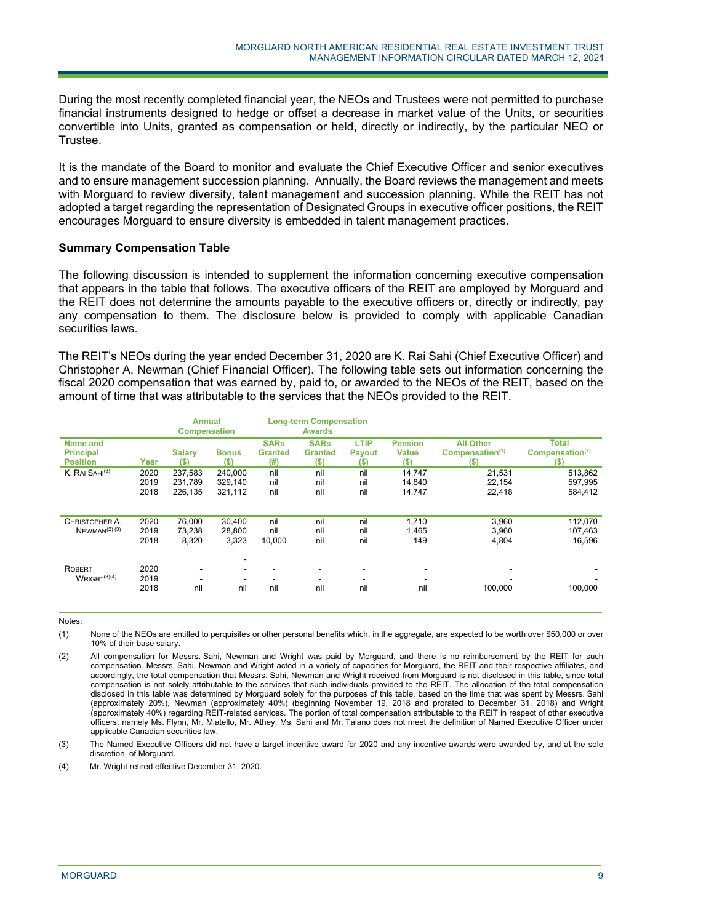During the most recently completed financial year, the NEOs and Trustees were not permitted to purchase financial instruments designed to hedge or offset a decrease in market value of the Units, or securities convertible into Units, granted as compensation or held, directly or indirectly, by the particular NEO or Trustee.

It is the mandate of the Board to monitor and evaluate the Chief Executive Officer and senior executives and to ensure management succession planning. Annually, the Board reviews the management and meets with Morguard to review diversity, talent management and succession planning. While the REIT has not adopted a target regarding the representation of Designated Groups in executive officer positions, the REIT encourages Morguard to ensure diversity is embedded in talent management practices.

#### **Summary Compensation Table**

The following discussion is intended to supplement the information concerning executive compensation that appears in the table that follows. The executive officers of the REIT are employed by Morguard and the REIT does not determine the amounts payable to the executive officers or, directly or indirectly, pay any compensation to them. The disclosure below is provided to comply with applicable Canadian securities laws.

The REIT's NEOs during the year ended December 31, 2020 are K. Rai Sahi (Chief Executive Officer) and Christopher A. Newman (Chief Financial Officer). The following table sets out information concerning the fiscal 2020 compensation that was earned by, paid to, or awarded to the NEOs of the REIT, based on the amount of time that was attributable to the services that the NEOs provided to the REIT.

|                                                 |                      | <b>Annual</b><br><b>Compensation</b> |                                 | <b>Long-term Compensation</b><br><b>Awards</b> |                                          |                                       |                                           |                                                           |                                                       |  |
|-------------------------------------------------|----------------------|--------------------------------------|---------------------------------|------------------------------------------------|------------------------------------------|---------------------------------------|-------------------------------------------|-----------------------------------------------------------|-------------------------------------------------------|--|
| Name and<br><b>Principal</b><br><b>Position</b> | Year                 | <b>Salary</b><br>$($ \$)             | <b>Bonus</b><br>$($ \$)         | <b>SARs</b><br><b>Granted</b><br>(# )          | <b>SARs</b><br><b>Granted</b><br>$($ \$) | <b>LTIP</b><br><b>Payout</b><br>$(5)$ | <b>Pension</b><br><b>Value</b><br>$($ \$) | <b>All Other</b><br>Compensation <sup>(1)</sup><br>$($ \$ | <b>Total</b><br>Compensation <sup>(2)</sup><br>$($ \$ |  |
| K. RAI SAHI <sup>(3)</sup>                      | 2020<br>2019<br>2018 | 237.583<br>231.789<br>226,135        | 240.000<br>329.140<br>321,112   | nil<br>nil<br>nil                              | nil<br>nil<br>nil                        | nil<br>nil<br>nil                     | 14,747<br>14,840<br>14,747                | 21,531<br>22,154<br>22,418                                | 513,862<br>597,995<br>584,412                         |  |
| CHRISTOPHER A.<br>$N$ EWMAN <sup>(2)</sup> (3)  | 2020<br>2019<br>2018 | 76,000<br>73.238<br>8,320            | 30,400<br>28.800<br>3,323       | nil<br>nil<br>10,000                           | nil<br>nil<br>nil                        | nil<br>nil<br>nil                     | 1,710<br>1,465<br>149                     | 3,960<br>3,960<br>4,804                                   | 112,070<br>107,463<br>16,596                          |  |
| ROBERT<br>WRIGHT <sup>(3)(4)</sup>              | 2020<br>2019<br>2018 | ٠<br>nil                             | $\overline{\phantom{a}}$<br>nil | nil                                            | nil                                      | nil                                   | $\overline{\phantom{a}}$<br>nil           | 100.000                                                   | 100.000                                               |  |

Notes:

- (1) None of the NEOs are entitled to perquisites or other personal benefits which, in the aggregate, are expected to be worth over \$50,000 or over 10% of their base salary.
- (2) All compensation for Messrs. Sahi, Newman and Wright was paid by Morguard, and there is no reimbursement by the REIT for such compensation. Messrs. Sahi, Newman and Wright acted in a variety of capacities for Morguard, the REIT and their respective affiliates, and accordingly, the total compensation that Messrs. Sahi, Newman and Wright received from Morguard is not disclosed in this table, since total compensation is not solely attributable to the services that such individuals provided to the REIT. The allocation of the total compensation disclosed in this table was determined by Morguard solely for the purposes of this table, based on the time that was spent by Messrs. Sahi (approximately 20%), Newman (approximately 40%) (beginning November 19, 2018 and prorated to December 31, 2018) and Wright (approximately 40%) regarding REIT-related services. The portion of total compensation attributable to the REIT in respect of other executive officers, namely Ms. Flynn, Mr. Miatello, Mr. Athey, Ms. Sahi and Mr. Talano does not meet the definition of Named Executive Officer under applicable Canadian securities law.
- (3) The Named Executive Officers did not have a target incentive award for 2020 and any incentive awards were awarded by, and at the sole discretion, of Morguard.
- (4) Mr. Wright retired effective December 31, 2020.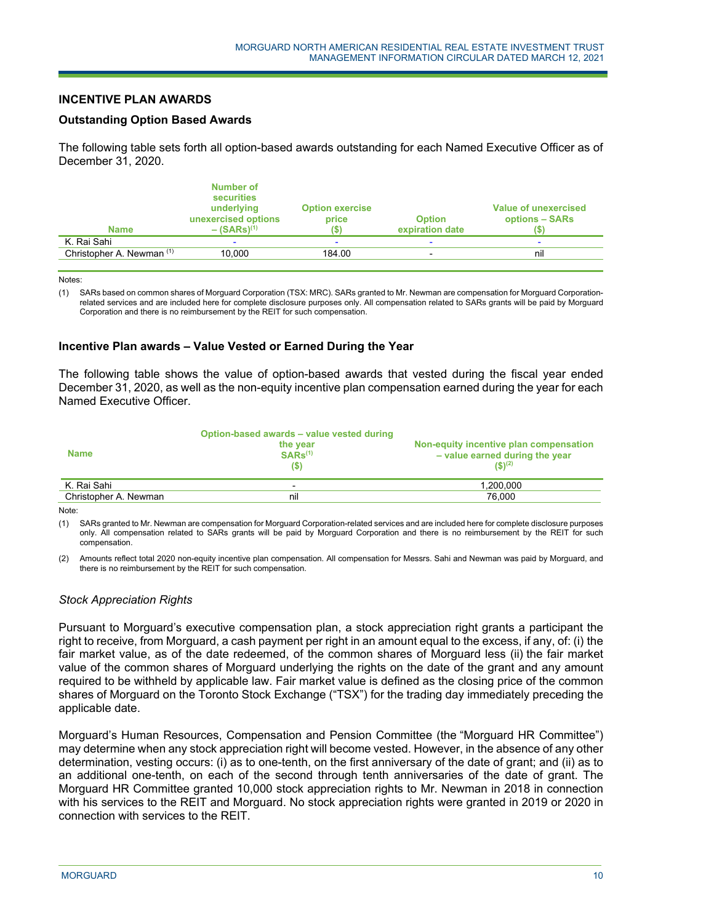## **INCENTIVE PLAN AWARDS**

#### **Outstanding Option Based Awards**

The following table sets forth all option-based awards outstanding for each Named Executive Officer as of December 31, 2020.

| <b>Name</b>               | <b>Number of</b><br><b>securities</b><br>underlying<br>unexercised options<br>$-$ (SARs) <sup>(1)</sup> | <b>Option exercise</b><br>price | <b>Option</b><br>expiration date | <b>Value of unexercised</b><br>options - SARs |
|---------------------------|---------------------------------------------------------------------------------------------------------|---------------------------------|----------------------------------|-----------------------------------------------|
| K. Rai Sahi               |                                                                                                         |                                 |                                  |                                               |
| Christopher A. Newman (1) | 10.000                                                                                                  | 184.00                          |                                  | nil                                           |
|                           |                                                                                                         |                                 |                                  |                                               |

Notes:

(1) SARs based on common shares of Morguard Corporation (TSX: MRC). SARs granted to Mr. Newman are compensation for Morguard Corporationrelated services and are included here for complete disclosure purposes only. All compensation related to SARs grants will be paid by Morguard Corporation and there is no reimbursement by the REIT for such compensation.

#### **Incentive Plan awards – Value Vested or Earned During the Year**

j

The following table shows the value of option-based awards that vested during the fiscal year ended December 31, 2020, as well as the non-equity incentive plan compensation earned during the year for each Named Executive Officer.

|                       | Option-based awards – value vested during |                                                                                    |
|-----------------------|-------------------------------------------|------------------------------------------------------------------------------------|
| <b>Name</b>           | the year<br>$SARS^{(1)}$<br>(S)           | Non-equity incentive plan compensation<br>- value earned during the year<br>(S)(2) |
| K. Rai Sahi           | $\overline{\phantom{0}}$                  | 1.200.000                                                                          |
| Christopher A. Newman | nil                                       | 76.000                                                                             |

Note:

(1) SARs granted to Mr. Newman are compensation for Morguard Corporation-related services and are included here for complete disclosure purposes only. All compensation related to SARs grants will be paid by Morguard Corporation and there is no reimbursement by the REIT for such compensation.

(2) Amounts reflect total 2020 non-equity incentive plan compensation. All compensation for Messrs. Sahi and Newman was paid by Morguard, and there is no reimbursement by the REIT for such compensation.

# *Stock Appreciation Rights*

Pursuant to Morguard's executive compensation plan, a stock appreciation right grants a participant the right to receive, from Morguard, a cash payment per right in an amount equal to the excess, if any, of: (i) the fair market value, as of the date redeemed, of the common shares of Morguard less (ii) the fair market value of the common shares of Morguard underlying the rights on the date of the grant and any amount required to be withheld by applicable law. Fair market value is defined as the closing price of the common shares of Morguard on the Toronto Stock Exchange ("TSX") for the trading day immediately preceding the applicable date.

Morguard's Human Resources, Compensation and Pension Committee (the "Morguard HR Committee") may determine when any stock appreciation right will become vested. However, in the absence of any other determination, vesting occurs: (i) as to one-tenth, on the first anniversary of the date of grant; and (ii) as to an additional one-tenth, on each of the second through tenth anniversaries of the date of grant. The Morguard HR Committee granted 10,000 stock appreciation rights to Mr. Newman in 2018 in connection with his services to the REIT and Morguard. No stock appreciation rights were granted in 2019 or 2020 in connection with services to the REIT.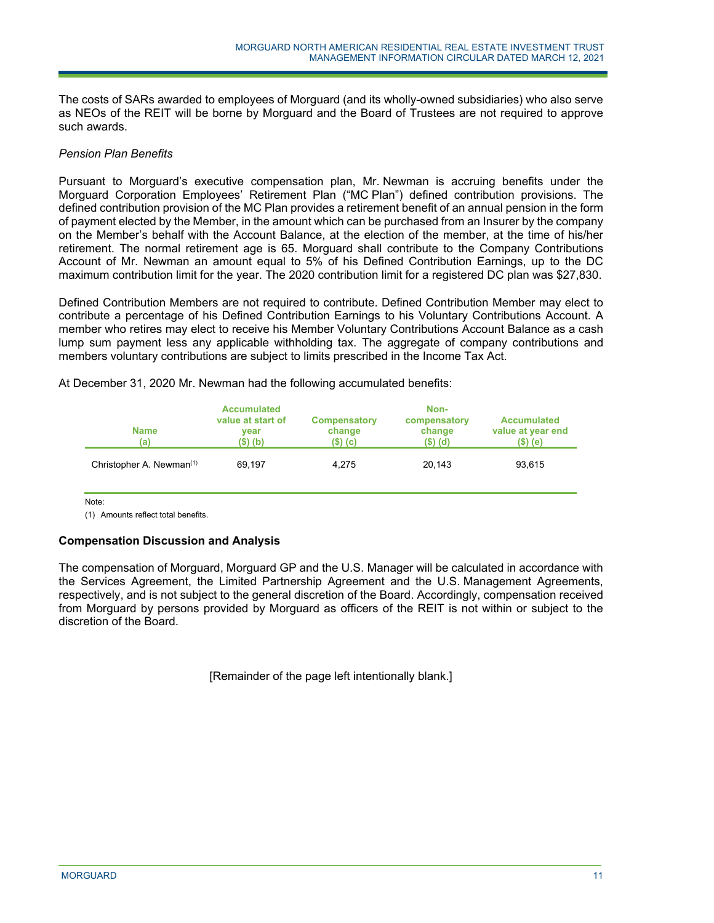The costs of SARs awarded to employees of Morguard (and its wholly-owned subsidiaries) who also serve as NEOs of the REIT will be borne by Morguard and the Board of Trustees are not required to approve such awards.

## *Pension Plan Benefits*

Pursuant to Morguard's executive compensation plan, Mr. Newman is accruing benefits under the Morguard Corporation Employees' Retirement Plan ("MC Plan") defined contribution provisions. The defined contribution provision of the MC Plan provides a retirement benefit of an annual pension in the form of payment elected by the Member, in the amount which can be purchased from an Insurer by the company on the Member's behalf with the Account Balance, at the election of the member, at the time of his/her retirement. The normal retirement age is 65. Morguard shall contribute to the Company Contributions Account of Mr. Newman an amount equal to 5% of his Defined Contribution Earnings, up to the DC maximum contribution limit for the year. The 2020 contribution limit for a registered DC plan was \$27,830.

Defined Contribution Members are not required to contribute. Defined Contribution Member may elect to contribute a percentage of his Defined Contribution Earnings to his Voluntary Contributions Account. A member who retires may elect to receive his Member Voluntary Contributions Account Balance as a cash lump sum payment less any applicable withholding tax. The aggregate of company contributions and members voluntary contributions are subject to limits prescribed in the Income Tax Act.

At December 31, 2020 Mr. Newman had the following accumulated benefits:

j

| <b>Name</b><br>(a)                   | <b>Accumulated</b><br>value at start of<br>vear<br>$($ \$) (b) | <b>Compensatory</b><br>change<br>$(S)$ (c) | Non-<br>compensatory<br>change<br>$($ \$) $(d)$ | <b>Accumulated</b><br>value at year end<br>(\$) (e) |
|--------------------------------------|----------------------------------------------------------------|--------------------------------------------|-------------------------------------------------|-----------------------------------------------------|
| Christopher A. Newman <sup>(1)</sup> | 69.197                                                         | 4.275                                      | 20.143                                          | 93,615                                              |

Note:

(1) Amounts reflect total benefits.

# **Compensation Discussion and Analysis**

The compensation of Morguard, Morguard GP and the U.S. Manager will be calculated in accordance with the Services Agreement, the Limited Partnership Agreement and the U.S. Management Agreements, respectively, and is not subject to the general discretion of the Board. Accordingly, compensation received from Morguard by persons provided by Morguard as officers of the REIT is not within or subject to the discretion of the Board.

[Remainder of the page left intentionally blank.]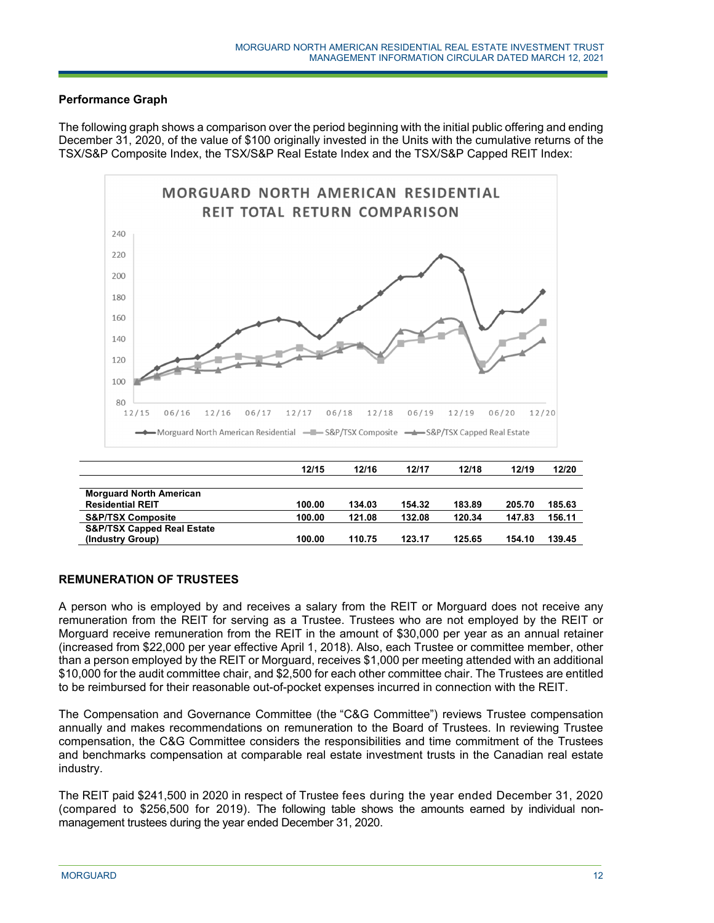# **Performance Graph**

The following graph shows a comparison over the period beginning with the initial public offering and ending December 31, 2020, of the value of \$100 originally invested in the Units with the cumulative returns of the TSX/S&P Composite Index, the TSX/S&P Real Estate Index and the TSX/S&P Capped REIT Index:



# **REMUNERATION OF TRUSTEES**

A person who is employed by and receives a salary from the REIT or Morguard does not receive any remuneration from the REIT for serving as a Trustee. Trustees who are not employed by the REIT or Morguard receive remuneration from the REIT in the amount of \$30,000 per year as an annual retainer (increased from \$22,000 per year effective April 1, 2018). Also, each Trustee or committee member, other than a person employed by the REIT or Morguard, receives \$1,000 per meeting attended with an additional \$10,000 for the audit committee chair, and \$2,500 for each other committee chair. The Trustees are entitled to be reimbursed for their reasonable out-of-pocket expenses incurred in connection with the REIT.

The Compensation and Governance Committee (the "C&G Committee") reviews Trustee compensation annually and makes recommendations on remuneration to the Board of Trustees. In reviewing Trustee compensation, the C&G Committee considers the responsibilities and time commitment of the Trustees and benchmarks compensation at comparable real estate investment trusts in the Canadian real estate industry.

The REIT paid \$241,500 in 2020 in respect of Trustee fees during the year ended December 31, 2020 (compared to \$256,500 for 2019). The following table shows the amounts earned by individual nonmanagement trustees during the year ended December 31, 2020.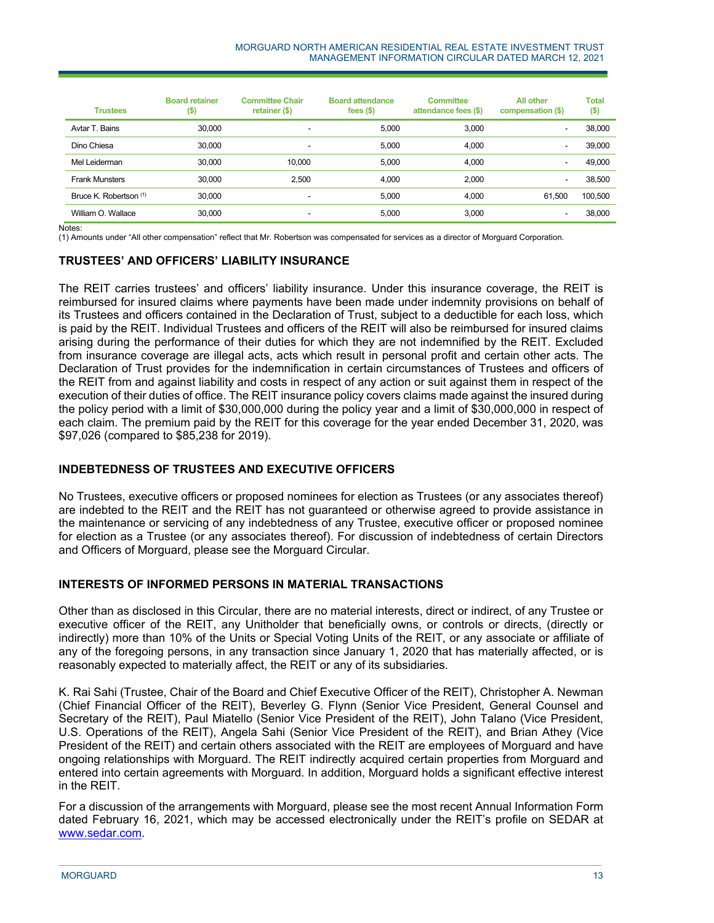| <b>Trustees</b>                   | <b>Board retainer</b><br>$($ \$) | <b>Committee Chair</b><br>retainer (\$) | <b>Board attendance</b><br>fees $(5)$ | <b>Committee</b><br>attendance fees (\$) | <b>All other</b><br>compensation (\$) | <b>Total</b><br>$($ \$) |
|-----------------------------------|----------------------------------|-----------------------------------------|---------------------------------------|------------------------------------------|---------------------------------------|-------------------------|
| Avtar T. Bains                    | 30,000                           | $\overline{\phantom{a}}$                | 5,000                                 | 3.000                                    | ۰                                     | 38,000                  |
| Dino Chiesa                       | 30,000                           | $\overline{\phantom{a}}$                | 5.000                                 | 4.000                                    | -                                     | 39,000                  |
| Mel Leiderman                     | 30,000                           | 10,000                                  | 5,000                                 | 4.000                                    |                                       | 49,000                  |
| <b>Frank Munsters</b>             | 30,000                           | 2.500                                   | 4.000                                 | 2.000                                    | ۰                                     | 38,500                  |
| Bruce K. Robertson <sup>(1)</sup> | 30,000                           | $\overline{\phantom{a}}$                | 5.000                                 | 4.000                                    | 61.500                                | 100,500                 |
| William O. Wallace                | 30,000                           | $\overline{\phantom{a}}$                | 5.000                                 | 3.000                                    | ۰                                     | 38,000                  |

Notes:

(1) Amounts under "All other compensation" reflect that Mr. Robertson was compensated for services as a director of Morguard Corporation.

# **TRUSTEES' AND OFFICERS' LIABILITY INSURANCE**

The REIT carries trustees' and officers' liability insurance. Under this insurance coverage, the REIT is reimbursed for insured claims where payments have been made under indemnity provisions on behalf of its Trustees and officers contained in the Declaration of Trust, subject to a deductible for each loss, which is paid by the REIT. Individual Trustees and officers of the REIT will also be reimbursed for insured claims arising during the performance of their duties for which they are not indemnified by the REIT. Excluded from insurance coverage are illegal acts, acts which result in personal profit and certain other acts. The Declaration of Trust provides for the indemnification in certain circumstances of Trustees and officers of the REIT from and against liability and costs in respect of any action or suit against them in respect of the execution of their duties of office. The REIT insurance policy covers claims made against the insured during the policy period with a limit of \$30,000,000 during the policy year and a limit of \$30,000,000 in respect of each claim. The premium paid by the REIT for this coverage for the year ended December 31, 2020, was \$97,026 (compared to \$85,238 for 2019).

# **INDEBTEDNESS OF TRUSTEES AND EXECUTIVE OFFICERS**

No Trustees, executive officers or proposed nominees for election as Trustees (or any associates thereof) are indebted to the REIT and the REIT has not guaranteed or otherwise agreed to provide assistance in the maintenance or servicing of any indebtedness of any Trustee, executive officer or proposed nominee for election as a Trustee (or any associates thereof). For discussion of indebtedness of certain Directors and Officers of Morguard, please see the Morguard Circular.

#### **INTERESTS OF INFORMED PERSONS IN MATERIAL TRANSACTIONS**

j

Other than as disclosed in this Circular, there are no material interests, direct or indirect, of any Trustee or executive officer of the REIT, any Unitholder that beneficially owns, or controls or directs, (directly or indirectly) more than 10% of the Units or Special Voting Units of the REIT, or any associate or affiliate of any of the foregoing persons, in any transaction since January 1, 2020 that has materially affected, or is reasonably expected to materially affect, the REIT or any of its subsidiaries.

K. Rai Sahi (Trustee, Chair of the Board and Chief Executive Officer of the REIT), Christopher A. Newman (Chief Financial Officer of the REIT), Beverley G. Flynn (Senior Vice President, General Counsel and Secretary of the REIT), Paul Miatello (Senior Vice President of the REIT), John Talano (Vice President, U.S. Operations of the REIT), Angela Sahi (Senior Vice President of the REIT), and Brian Athey (Vice President of the REIT) and certain others associated with the REIT are employees of Morguard and have ongoing relationships with Morguard. The REIT indirectly acquired certain properties from Morguard and entered into certain agreements with Morguard. In addition, Morguard holds a significant effective interest in the REIT.

For a discussion of the arrangements with Morguard, please see the most recent Annual Information Form dated February 16, 2021, which may be accessed electronically under the REIT's profile on SEDAR at www.sedar.com.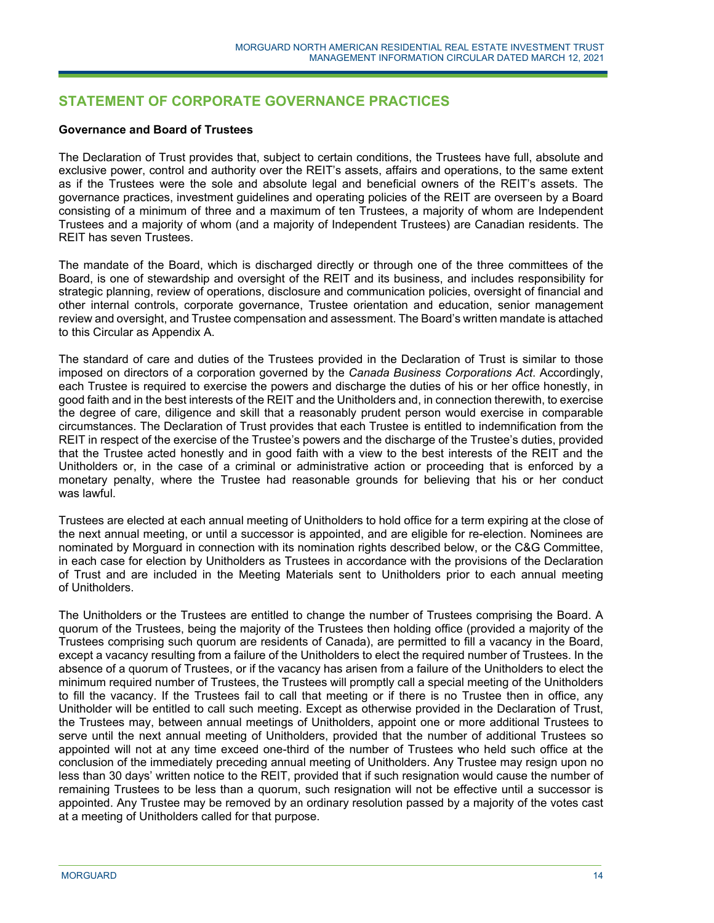# **STATEMENT OF CORPORATE GOVERNANCE PRACTICES**

#### **Governance and Board of Trustees**

The Declaration of Trust provides that, subject to certain conditions, the Trustees have full, absolute and exclusive power, control and authority over the REIT's assets, affairs and operations, to the same extent as if the Trustees were the sole and absolute legal and beneficial owners of the REIT's assets. The governance practices, investment guidelines and operating policies of the REIT are overseen by a Board consisting of a minimum of three and a maximum of ten Trustees, a majority of whom are Independent Trustees and a majority of whom (and a majority of Independent Trustees) are Canadian residents. The REIT has seven Trustees.

The mandate of the Board, which is discharged directly or through one of the three committees of the Board, is one of stewardship and oversight of the REIT and its business, and includes responsibility for strategic planning, review of operations, disclosure and communication policies, oversight of financial and other internal controls, corporate governance, Trustee orientation and education, senior management review and oversight, and Trustee compensation and assessment. The Board's written mandate is attached to this Circular as Appendix A.

The standard of care and duties of the Trustees provided in the Declaration of Trust is similar to those imposed on directors of a corporation governed by the *Canada Business Corporations Act*. Accordingly, each Trustee is required to exercise the powers and discharge the duties of his or her office honestly, in good faith and in the best interests of the REIT and the Unitholders and, in connection therewith, to exercise the degree of care, diligence and skill that a reasonably prudent person would exercise in comparable circumstances. The Declaration of Trust provides that each Trustee is entitled to indemnification from the REIT in respect of the exercise of the Trustee's powers and the discharge of the Trustee's duties, provided that the Trustee acted honestly and in good faith with a view to the best interests of the REIT and the Unitholders or, in the case of a criminal or administrative action or proceeding that is enforced by a monetary penalty, where the Trustee had reasonable grounds for believing that his or her conduct was lawful.

Trustees are elected at each annual meeting of Unitholders to hold office for a term expiring at the close of the next annual meeting, or until a successor is appointed, and are eligible for re-election. Nominees are nominated by Morguard in connection with its nomination rights described below, or the C&G Committee, in each case for election by Unitholders as Trustees in accordance with the provisions of the Declaration of Trust and are included in the Meeting Materials sent to Unitholders prior to each annual meeting of Unitholders.

The Unitholders or the Trustees are entitled to change the number of Trustees comprising the Board. A quorum of the Trustees, being the majority of the Trustees then holding office (provided a majority of the Trustees comprising such quorum are residents of Canada), are permitted to fill a vacancy in the Board, except a vacancy resulting from a failure of the Unitholders to elect the required number of Trustees. In the absence of a quorum of Trustees, or if the vacancy has arisen from a failure of the Unitholders to elect the minimum required number of Trustees, the Trustees will promptly call a special meeting of the Unitholders to fill the vacancy. If the Trustees fail to call that meeting or if there is no Trustee then in office, any Unitholder will be entitled to call such meeting. Except as otherwise provided in the Declaration of Trust, the Trustees may, between annual meetings of Unitholders, appoint one or more additional Trustees to serve until the next annual meeting of Unitholders, provided that the number of additional Trustees so appointed will not at any time exceed one-third of the number of Trustees who held such office at the conclusion of the immediately preceding annual meeting of Unitholders. Any Trustee may resign upon no less than 30 days' written notice to the REIT, provided that if such resignation would cause the number of remaining Trustees to be less than a quorum, such resignation will not be effective until a successor is appointed. Any Trustee may be removed by an ordinary resolution passed by a majority of the votes cast at a meeting of Unitholders called for that purpose.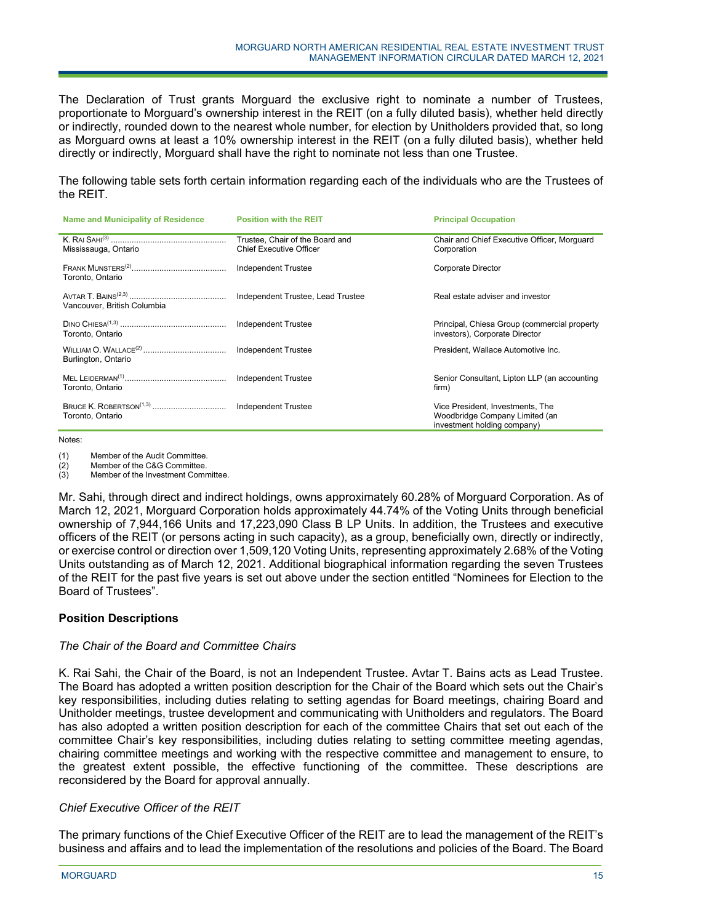The Declaration of Trust grants Morguard the exclusive right to nominate a number of Trustees, proportionate to Morguard's ownership interest in the REIT (on a fully diluted basis), whether held directly or indirectly, rounded down to the nearest whole number, for election by Unitholders provided that, so long as Morguard owns at least a 10% ownership interest in the REIT (on a fully diluted basis), whether held directly or indirectly, Morguard shall have the right to nominate not less than one Trustee.

The following table sets forth certain information regarding each of the individuals who are the Trustees of the REIT.

| Name and Municipality of Residence | <b>Position with the REIT</b>                                     | <b>Principal Occupation</b>                                                                       |  |
|------------------------------------|-------------------------------------------------------------------|---------------------------------------------------------------------------------------------------|--|
| Mississauga, Ontario               | Trustee, Chair of the Board and<br><b>Chief Executive Officer</b> | Chair and Chief Executive Officer, Morguard<br>Corporation                                        |  |
| Toronto, Ontario                   | Independent Trustee                                               | <b>Corporate Director</b>                                                                         |  |
| Vancouver, British Columbia        | Independent Trustee, Lead Trustee                                 | Real estate adviser and investor                                                                  |  |
| Toronto, Ontario                   | <b>Independent Trustee</b>                                        | Principal, Chiesa Group (commercial property<br>investors), Corporate Director                    |  |
| Burlington, Ontario                | Independent Trustee                                               | President, Wallace Automotive Inc.                                                                |  |
| Toronto, Ontario                   | <b>Independent Trustee</b>                                        | Senior Consultant, Lipton LLP (an accounting<br>firm)                                             |  |
| Toronto, Ontario                   |                                                                   | Vice President, Investments, The<br>Woodbridge Company Limited (an<br>investment holding company) |  |

#### Notes:

(1) Member of the Audit Committee.

(2) Member of the C&G Committee.

(3) Member of the Investment Committee.

Mr. Sahi, through direct and indirect holdings, owns approximately 60.28% of Morguard Corporation. As of March 12, 2021, Morguard Corporation holds approximately 44.74% of the Voting Units through beneficial ownership of 7,944,166 Units and 17,223,090 Class B LP Units. In addition, the Trustees and executive officers of the REIT (or persons acting in such capacity), as a group, beneficially own, directly or indirectly, or exercise control or direction over 1,509,120 Voting Units, representing approximately 2.68% of the Voting Units outstanding as of March 12, 2021. Additional biographical information regarding the seven Trustees of the REIT for the past five years is set out above under the section entitled "Nominees for Election to the Board of Trustees".

# **Position Descriptions**

#### *The Chair of the Board and Committee Chairs*

K. Rai Sahi, the Chair of the Board, is not an Independent Trustee. Avtar T. Bains acts as Lead Trustee. The Board has adopted a written position description for the Chair of the Board which sets out the Chair's key responsibilities, including duties relating to setting agendas for Board meetings, chairing Board and Unitholder meetings, trustee development and communicating with Unitholders and regulators. The Board has also adopted a written position description for each of the committee Chairs that set out each of the committee Chair's key responsibilities, including duties relating to setting committee meeting agendas, chairing committee meetings and working with the respective committee and management to ensure, to the greatest extent possible, the effective functioning of the committee. These descriptions are reconsidered by the Board for approval annually.

#### *Chief Executive Officer of the REIT*

The primary functions of the Chief Executive Officer of the REIT are to lead the management of the REIT's business and affairs and to lead the implementation of the resolutions and policies of the Board. The Board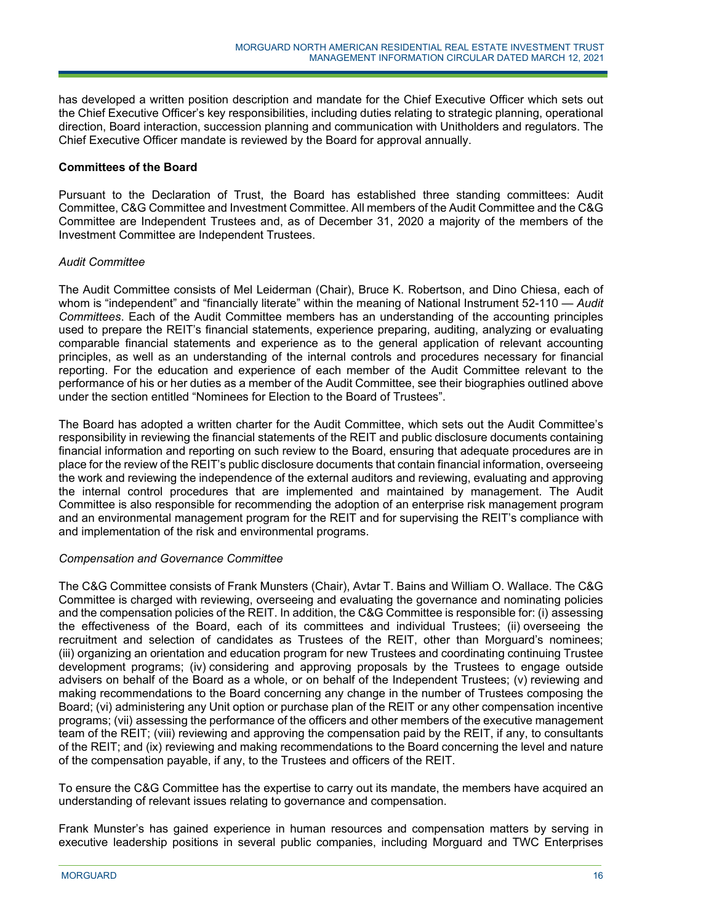has developed a written position description and mandate for the Chief Executive Officer which sets out the Chief Executive Officer's key responsibilities, including duties relating to strategic planning, operational direction, Board interaction, succession planning and communication with Unitholders and regulators. The Chief Executive Officer mandate is reviewed by the Board for approval annually.

## **Committees of the Board**

Pursuant to the Declaration of Trust, the Board has established three standing committees: Audit Committee, C&G Committee and Investment Committee. All members of the Audit Committee and the C&G Committee are Independent Trustees and, as of December 31, 2020 a majority of the members of the Investment Committee are Independent Trustees.

## *Audit Committee*

The Audit Committee consists of Mel Leiderman (Chair), Bruce K. Robertson, and Dino Chiesa, each of whom is "independent" and "financially literate" within the meaning of National Instrument 52-110 — *Audit Committees*. Each of the Audit Committee members has an understanding of the accounting principles used to prepare the REIT's financial statements, experience preparing, auditing, analyzing or evaluating comparable financial statements and experience as to the general application of relevant accounting principles, as well as an understanding of the internal controls and procedures necessary for financial reporting. For the education and experience of each member of the Audit Committee relevant to the performance of his or her duties as a member of the Audit Committee, see their biographies outlined above under the section entitled "Nominees for Election to the Board of Trustees".

The Board has adopted a written charter for the Audit Committee, which sets out the Audit Committee's responsibility in reviewing the financial statements of the REIT and public disclosure documents containing financial information and reporting on such review to the Board, ensuring that adequate procedures are in place for the review of the REIT's public disclosure documents that contain financial information, overseeing the work and reviewing the independence of the external auditors and reviewing, evaluating and approving the internal control procedures that are implemented and maintained by management. The Audit Committee is also responsible for recommending the adoption of an enterprise risk management program and an environmental management program for the REIT and for supervising the REIT's compliance with and implementation of the risk and environmental programs.

# *Compensation and Governance Committee*

The C&G Committee consists of Frank Munsters (Chair), Avtar T. Bains and William O. Wallace. The C&G Committee is charged with reviewing, overseeing and evaluating the governance and nominating policies and the compensation policies of the REIT. In addition, the C&G Committee is responsible for: (i) assessing the effectiveness of the Board, each of its committees and individual Trustees; (ii) overseeing the recruitment and selection of candidates as Trustees of the REIT, other than Morguard's nominees; (iii) organizing an orientation and education program for new Trustees and coordinating continuing Trustee development programs; (iv) considering and approving proposals by the Trustees to engage outside advisers on behalf of the Board as a whole, or on behalf of the Independent Trustees; (v) reviewing and making recommendations to the Board concerning any change in the number of Trustees composing the Board; (vi) administering any Unit option or purchase plan of the REIT or any other compensation incentive programs; (vii) assessing the performance of the officers and other members of the executive management team of the REIT; (viii) reviewing and approving the compensation paid by the REIT, if any, to consultants of the REIT; and (ix) reviewing and making recommendations to the Board concerning the level and nature of the compensation payable, if any, to the Trustees and officers of the REIT.

To ensure the C&G Committee has the expertise to carry out its mandate, the members have acquired an understanding of relevant issues relating to governance and compensation.

Frank Munster's has gained experience in human resources and compensation matters by serving in executive leadership positions in several public companies, including Morguard and TWC Enterprises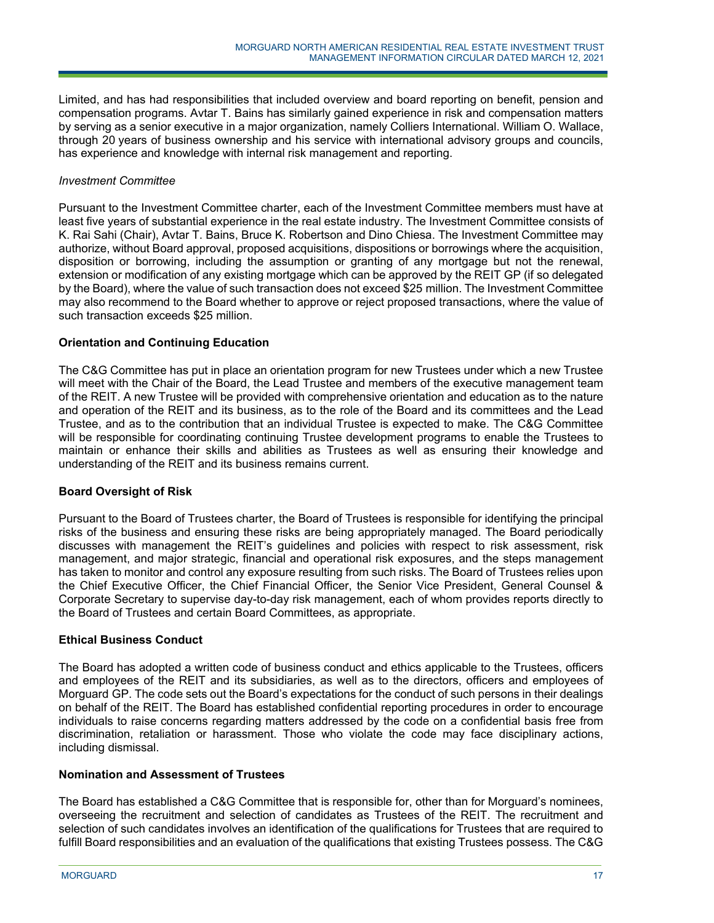Limited, and has had responsibilities that included overview and board reporting on benefit, pension and compensation programs. Avtar T. Bains has similarly gained experience in risk and compensation matters by serving as a senior executive in a major organization, namely Colliers International. William O. Wallace, through 20 years of business ownership and his service with international advisory groups and councils, has experience and knowledge with internal risk management and reporting.

## *Investment Committee*

Pursuant to the Investment Committee charter, each of the Investment Committee members must have at least five years of substantial experience in the real estate industry. The Investment Committee consists of K. Rai Sahi (Chair), Avtar T. Bains, Bruce K. Robertson and Dino Chiesa. The Investment Committee may authorize, without Board approval, proposed acquisitions, dispositions or borrowings where the acquisition, disposition or borrowing, including the assumption or granting of any mortgage but not the renewal, extension or modification of any existing mortgage which can be approved by the REIT GP (if so delegated by the Board), where the value of such transaction does not exceed \$25 million. The Investment Committee may also recommend to the Board whether to approve or reject proposed transactions, where the value of such transaction exceeds \$25 million.

## **Orientation and Continuing Education**

The C&G Committee has put in place an orientation program for new Trustees under which a new Trustee will meet with the Chair of the Board, the Lead Trustee and members of the executive management team of the REIT. A new Trustee will be provided with comprehensive orientation and education as to the nature and operation of the REIT and its business, as to the role of the Board and its committees and the Lead Trustee, and as to the contribution that an individual Trustee is expected to make. The C&G Committee will be responsible for coordinating continuing Trustee development programs to enable the Trustees to maintain or enhance their skills and abilities as Trustees as well as ensuring their knowledge and understanding of the REIT and its business remains current.

#### **Board Oversight of Risk**

Pursuant to the Board of Trustees charter, the Board of Trustees is responsible for identifying the principal risks of the business and ensuring these risks are being appropriately managed. The Board periodically discusses with management the REIT's guidelines and policies with respect to risk assessment, risk management, and major strategic, financial and operational risk exposures, and the steps management has taken to monitor and control any exposure resulting from such risks. The Board of Trustees relies upon the Chief Executive Officer, the Chief Financial Officer, the Senior Vice President, General Counsel & Corporate Secretary to supervise day-to-day risk management, each of whom provides reports directly to the Board of Trustees and certain Board Committees, as appropriate.

#### **Ethical Business Conduct**

The Board has adopted a written code of business conduct and ethics applicable to the Trustees, officers and employees of the REIT and its subsidiaries, as well as to the directors, officers and employees of Morguard GP. The code sets out the Board's expectations for the conduct of such persons in their dealings on behalf of the REIT. The Board has established confidential reporting procedures in order to encourage individuals to raise concerns regarding matters addressed by the code on a confidential basis free from discrimination, retaliation or harassment. Those who violate the code may face disciplinary actions, including dismissal.

#### **Nomination and Assessment of Trustees**

j

The Board has established a C&G Committee that is responsible for, other than for Morguard's nominees, overseeing the recruitment and selection of candidates as Trustees of the REIT. The recruitment and selection of such candidates involves an identification of the qualifications for Trustees that are required to fulfill Board responsibilities and an evaluation of the qualifications that existing Trustees possess. The C&G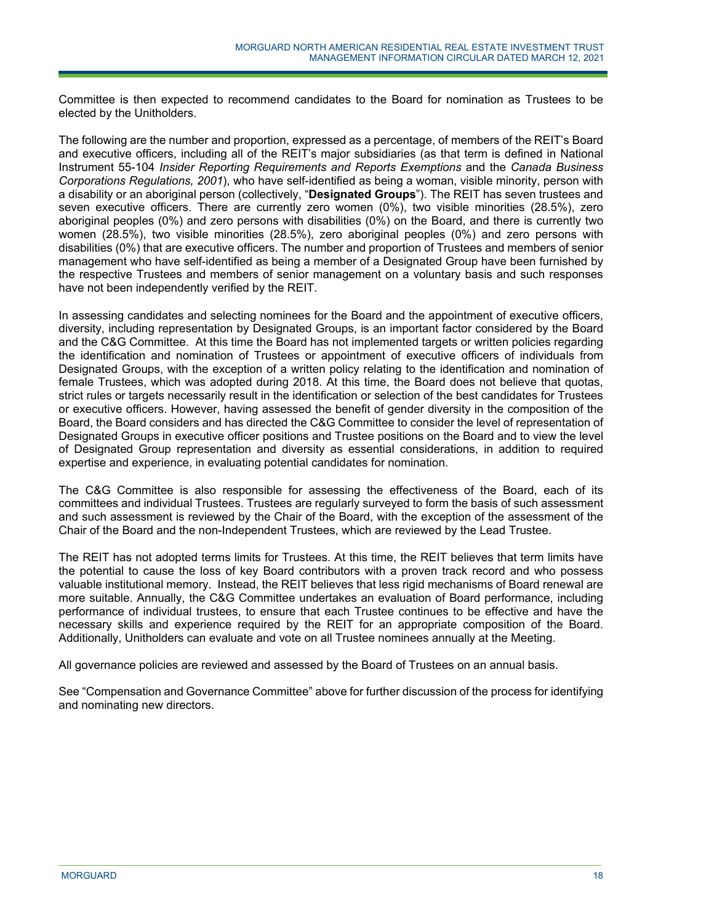Committee is then expected to recommend candidates to the Board for nomination as Trustees to be elected by the Unitholders.

The following are the number and proportion, expressed as a percentage, of members of the REIT's Board and executive officers, including all of the REIT's major subsidiaries (as that term is defined in National Instrument 55-104 *Insider Reporting Requirements and Reports Exemptions* and the *Canada Business Corporations Regulations, 2001*), who have self-identified as being a woman, visible minority, person with a disability or an aboriginal person (collectively, "**Designated Groups**"). The REIT has seven trustees and seven executive officers. There are currently zero women (0%), two visible minorities (28.5%), zero aboriginal peoples (0%) and zero persons with disabilities (0%) on the Board, and there is currently two women (28.5%), two visible minorities (28.5%), zero aboriginal peoples (0%) and zero persons with disabilities (0%) that are executive officers. The number and proportion of Trustees and members of senior management who have self-identified as being a member of a Designated Group have been furnished by the respective Trustees and members of senior management on a voluntary basis and such responses have not been independently verified by the REIT.

In assessing candidates and selecting nominees for the Board and the appointment of executive officers, diversity, including representation by Designated Groups, is an important factor considered by the Board and the C&G Committee. At this time the Board has not implemented targets or written policies regarding the identification and nomination of Trustees or appointment of executive officers of individuals from Designated Groups, with the exception of a written policy relating to the identification and nomination of female Trustees, which was adopted during 2018. At this time, the Board does not believe that quotas, strict rules or targets necessarily result in the identification or selection of the best candidates for Trustees or executive officers. However, having assessed the benefit of gender diversity in the composition of the Board, the Board considers and has directed the C&G Committee to consider the level of representation of Designated Groups in executive officer positions and Trustee positions on the Board and to view the level of Designated Group representation and diversity as essential considerations, in addition to required expertise and experience, in evaluating potential candidates for nomination.

The C&G Committee is also responsible for assessing the effectiveness of the Board, each of its committees and individual Trustees. Trustees are regularly surveyed to form the basis of such assessment and such assessment is reviewed by the Chair of the Board, with the exception of the assessment of the Chair of the Board and the non-Independent Trustees, which are reviewed by the Lead Trustee.

The REIT has not adopted terms limits for Trustees. At this time, the REIT believes that term limits have the potential to cause the loss of key Board contributors with a proven track record and who possess valuable institutional memory. Instead, the REIT believes that less rigid mechanisms of Board renewal are more suitable. Annually, the C&G Committee undertakes an evaluation of Board performance, including performance of individual trustees, to ensure that each Trustee continues to be effective and have the necessary skills and experience required by the REIT for an appropriate composition of the Board. Additionally, Unitholders can evaluate and vote on all Trustee nominees annually at the Meeting.

All governance policies are reviewed and assessed by the Board of Trustees on an annual basis.

j

See "Compensation and Governance Committee" above for further discussion of the process for identifying and nominating new directors.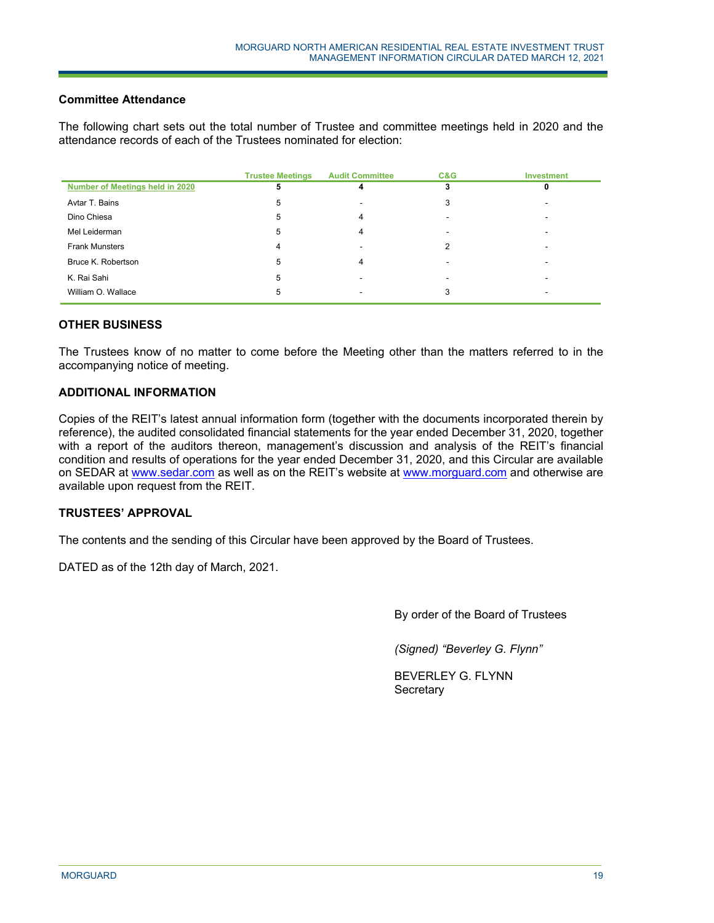## **Committee Attendance**

The following chart sets out the total number of Trustee and committee meetings held in 2020 and the attendance records of each of the Trustees nominated for election:

|                                 | <b>Trustee Meetings</b> | <b>Audit Committee</b> | C&G                      | <b>Investment</b> |
|---------------------------------|-------------------------|------------------------|--------------------------|-------------------|
| Number of Meetings held in 2020 | 5                       |                        |                          |                   |
| Avtar T. Bains                  | 5                       |                        | 3                        |                   |
| Dino Chiesa                     | 5                       |                        |                          |                   |
| Mel Leiderman                   | 5                       | 4                      |                          |                   |
| <b>Frank Munsters</b>           | 4                       |                        |                          |                   |
| Bruce K. Robertson              | 5                       | 4                      |                          |                   |
| K. Rai Sahi                     | 5                       | -                      | $\overline{\phantom{a}}$ |                   |
| William O. Wallace              | 5                       |                        |                          |                   |

# **OTHER BUSINESS**

The Trustees know of no matter to come before the Meeting other than the matters referred to in the accompanying notice of meeting.

## **ADDITIONAL INFORMATION**

Copies of the REIT's latest annual information form (together with the documents incorporated therein by reference), the audited consolidated financial statements for the year ended December 31, 2020, together with a report of the auditors thereon, management's discussion and analysis of the REIT's financial condition and results of operations for the year ended December 31, 2020, and this Circular are available on SEDAR at www.sedar.com as well as on the REIT's website at www.morguard.com and otherwise are available upon request from the REIT.

# **TRUSTEES' APPROVAL**

The contents and the sending of this Circular have been approved by the Board of Trustees.

j

DATED as of the 12th day of March, 2021.

By order of the Board of Trustees

*(Signed) "Beverley G. Flynn"* 

BEVERLEY G. FLYNN **Secretary**